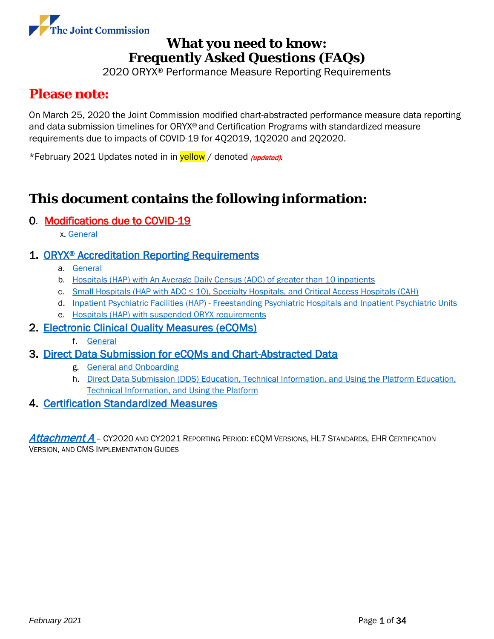

2020 ORYX® Performance Measure Reporting Requirements

# <span id="page-0-0"></span>**Please note:**

On March 25, 2020 the Joint Commission modified chart-abstracted performance measure data reporting and data submission timelines for ORYX® and Certification Programs with standardized measure requirements due to impacts of COVID-19 for 4Q2019, 1Q2020 and 2Q2020.

\*February 2021 Updates noted in in **yellow** / denoted *(updated)*.

# **This document contains the following information:**

### 0. Modifications due to COVID-19

x. [General](#page-3-0)

### 1. ORYX<sup>®</sup> Accreditation Reporting Requirements

- a. [General](#page-3-0)
- b. [Hospitals \(HAP\) with An Average Daily Census](#page-10-0) (ADC) of greater than 10 inpatients
- c. Small Hospitals (HAP with ADC  $\leq$  10), Specialty Hospitals, [and Critical Access Hospitals \(CAH\)](#page-12-0)
- d. Inpatient Psychiatric Facilities (HAP) [Freestanding Psychiatric Hospitals and Inpatient Psychiatric Units](#page-14-0)
- e. [Hospitals \(HAP\) with suspended ORYX requirements](#page-15-0)

### 2. [Electronic Clinical Quality Measures \(eCQMs\)](#page-16-0)

f. [General](#page-16-1)

### 3. [Direct Data Submission for eCQMs and Chart-Abstracted Data](#page-21-0)

- g. [General and Onboarding](#page-21-1)
- h. [Direct Data Submission \(DDS\) Education, Technical Information, and Using the Platform Education,](#page-27-0)  [Technical Information, and Using the Platform](#page-27-0)

### 4. [Certification Standardized Measures](#page-31-0)

[Attachment A](#page-32-0) – CY2020 AND CY2021 REPORTING PERIOD: ECOM VERSIONS, HL7 STANDARDS, EHR CERTIFICATION VERSION, AND CMS IMPLEMENTATION GUIDES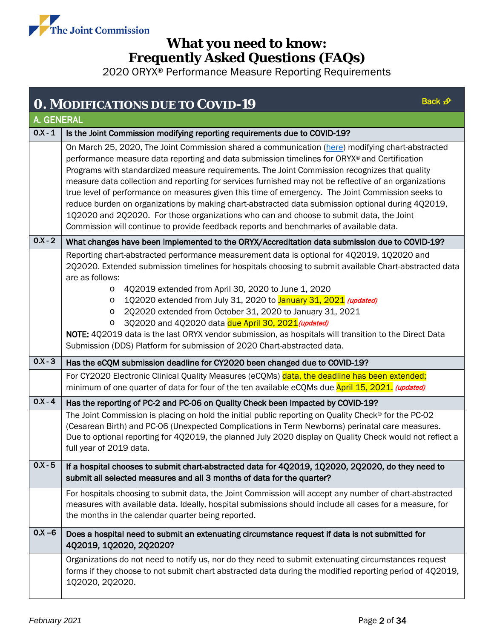

<span id="page-1-0"></span>

|           | Back £<br><b>O. MODIFICATIONS DUE TO COVID-19</b>                                                                                                                                                                                                                                                                                                                                                                                                                                                                                                                                                                                                                                                                                                                                                          |  |  |  |  |
|-----------|------------------------------------------------------------------------------------------------------------------------------------------------------------------------------------------------------------------------------------------------------------------------------------------------------------------------------------------------------------------------------------------------------------------------------------------------------------------------------------------------------------------------------------------------------------------------------------------------------------------------------------------------------------------------------------------------------------------------------------------------------------------------------------------------------------|--|--|--|--|
|           | <b>A. GENERAL</b>                                                                                                                                                                                                                                                                                                                                                                                                                                                                                                                                                                                                                                                                                                                                                                                          |  |  |  |  |
| $0.X - 1$ | Is the Joint Commission modifying reporting requirements due to COVID-19?                                                                                                                                                                                                                                                                                                                                                                                                                                                                                                                                                                                                                                                                                                                                  |  |  |  |  |
|           | On March 25, 2020, The Joint Commission shared a communication (here) modifying chart-abstracted<br>performance measure data reporting and data submission timelines for ORYX® and Certification<br>Programs with standardized measure requirements. The Joint Commission recognizes that quality<br>measure data collection and reporting for services furnished may not be reflective of an organizations<br>true level of performance on measures given this time of emergency. The Joint Commission seeks to<br>reduce burden on organizations by making chart-abstracted data submission optional during 4Q2019,<br>1Q2020 and 2Q2020. For those organizations who can and choose to submit data, the Joint<br>Commission will continue to provide feedback reports and benchmarks of available data. |  |  |  |  |
| $0.X - 2$ | What changes have been implemented to the ORYX/Accreditation data submission due to COVID-19?                                                                                                                                                                                                                                                                                                                                                                                                                                                                                                                                                                                                                                                                                                              |  |  |  |  |
|           | Reporting chart-abstracted performance measurement data is optional for 4Q2019, 1Q2020 and<br>2Q2020. Extended submission timelines for hospitals choosing to submit available Chart-abstracted data<br>are as follows:<br>4Q2019 extended from April 30, 2020 to June 1, 2020<br>O<br>1Q2020 extended from July 31, 2020 to January 31, 2021 (updated)<br>$\circ$<br>2Q2020 extended from October 31, 2020 to January 31, 2021<br>O<br>3Q2020 and 4Q2020 data due April 30, 2021 (updated)<br>$\circ$<br>NOTE: 4Q2019 data is the last ORYX vendor submission, as hospitals will transition to the Direct Data<br>Submission (DDS) Platform for submission of 2020 Chart-abstracted data.                                                                                                                 |  |  |  |  |
| $0.X-3$   | Has the eCQM submission deadline for CY2020 been changed due to COVID-19?                                                                                                                                                                                                                                                                                                                                                                                                                                                                                                                                                                                                                                                                                                                                  |  |  |  |  |
|           | For CY2020 Electronic Clinical Quality Measures (eCQMs) data, the deadline has been extended;<br>minimum of one quarter of data for four of the ten available eCQMs due April 15, 2021. (updated)                                                                                                                                                                                                                                                                                                                                                                                                                                                                                                                                                                                                          |  |  |  |  |
| $0.X - 4$ | Has the reporting of PC-2 and PC-06 on Quality Check been impacted by COVID-19?                                                                                                                                                                                                                                                                                                                                                                                                                                                                                                                                                                                                                                                                                                                            |  |  |  |  |
|           | The Joint Commission is placing on hold the initial public reporting on Quality Check® for the PC-02<br>(Cesarean Birth) and PC-06 (Unexpected Complications in Term Newborns) perinatal care measures.<br>Due to optional reporting for 4Q2019, the planned July 2020 display on Quality Check would not reflect a<br>full year of 2019 data.                                                                                                                                                                                                                                                                                                                                                                                                                                                             |  |  |  |  |
| $0.X - 5$ | If a hospital chooses to submit chart-abstracted data for 4Q2019, 1Q2020, 2Q2020, do they need to<br>submit all selected measures and all 3 months of data for the quarter?                                                                                                                                                                                                                                                                                                                                                                                                                                                                                                                                                                                                                                |  |  |  |  |
|           | For hospitals choosing to submit data, the Joint Commission will accept any number of chart-abstracted<br>measures with available data. Ideally, hospital submissions should include all cases for a measure, for<br>the months in the calendar quarter being reported.                                                                                                                                                                                                                                                                                                                                                                                                                                                                                                                                    |  |  |  |  |
| $0.X - 6$ | Does a hospital need to submit an extenuating circumstance request if data is not submitted for<br>4Q2019, 1Q2020, 2Q2020?                                                                                                                                                                                                                                                                                                                                                                                                                                                                                                                                                                                                                                                                                 |  |  |  |  |
|           | Organizations do not need to notify us, nor do they need to submit extenuating circumstances request<br>forms if they choose to not submit chart abstracted data during the modified reporting period of 4Q2019,<br>1Q2020, 2Q2020.                                                                                                                                                                                                                                                                                                                                                                                                                                                                                                                                                                        |  |  |  |  |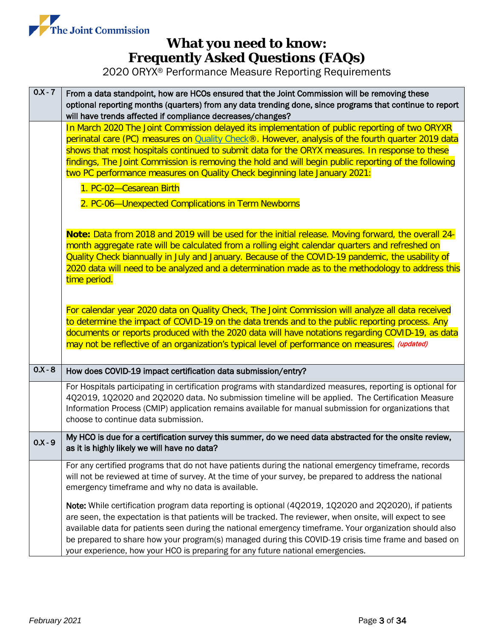

| $0.X - 7$ | From a data standpoint, how are HCOs ensured that the Joint Commission will be removing these<br>optional reporting months (quarters) from any data trending done, since programs that continue to report<br>will have trends affected if compliance decreases/changes?                                                                                                                                                                                                                                                  |  |  |  |  |
|-----------|--------------------------------------------------------------------------------------------------------------------------------------------------------------------------------------------------------------------------------------------------------------------------------------------------------------------------------------------------------------------------------------------------------------------------------------------------------------------------------------------------------------------------|--|--|--|--|
|           | In March 2020 The Joint Commission delayed its implementation of public reporting of two ORYXR<br>perinatal care (PC) measures on Quality Check®. However, analysis of the fourth quarter 2019 data<br>shows that most hospitals continued to submit data for the ORYX measures. In response to these<br>findings, The Joint Commission is removing the hold and will begin public reporting of the following<br>two PC performance measures on Quality Check beginning late January 2021:                               |  |  |  |  |
|           | 1. PC-02-Cesarean Birth<br>2. PC-06-Unexpected Complications in Term Newborns                                                                                                                                                                                                                                                                                                                                                                                                                                            |  |  |  |  |
|           |                                                                                                                                                                                                                                                                                                                                                                                                                                                                                                                          |  |  |  |  |
|           | Note: Data from 2018 and 2019 will be used for the initial release. Moving forward, the overall 24-<br>month aggregate rate will be calculated from a rolling eight calendar quarters and refreshed on<br>Quality Check biannually in July and January. Because of the COVID-19 pandemic, the usability of<br>2020 data will need to be analyzed and a determination made as to the methodology to address this<br>time period.                                                                                          |  |  |  |  |
|           | For calendar year 2020 data on Quality Check, The Joint Commission will analyze all data received<br>to determine the impact of COVID-19 on the data trends and to the public reporting process. Any<br>documents or reports produced with the 2020 data will have notations regarding COVID-19, as data<br>may not be reflective of an organization's typical level of performance on measures. (updated)                                                                                                               |  |  |  |  |
| $0.X - 8$ | How does COVID-19 impact certification data submission/entry?                                                                                                                                                                                                                                                                                                                                                                                                                                                            |  |  |  |  |
|           | For Hospitals participating in certification programs with standardized measures, reporting is optional for<br>4Q2019, 1Q2020 and 2Q2020 data. No submission timeline will be applied. The Certification Measure<br>Information Process (CMIP) application remains available for manual submission for organizations that<br>choose to continue data submission.                                                                                                                                                         |  |  |  |  |
| $0.X-9$   | My HCO is due for a certification survey this summer, do we need data abstracted for the onsite review,<br>as it is highly likely we will have no data?                                                                                                                                                                                                                                                                                                                                                                  |  |  |  |  |
|           | For any certified programs that do not have patients during the national emergency timeframe, records<br>will not be reviewed at time of survey. At the time of your survey, be prepared to address the national<br>emergency timeframe and why no data is available.                                                                                                                                                                                                                                                    |  |  |  |  |
|           | Note: While certification program data reporting is optional (4Q2019, 1Q2020 and 2Q2020), if patients<br>are seen, the expectation is that patients will be tracked. The reviewer, when onsite, will expect to see<br>available data for patients seen during the national emergency timeframe. Your organization should also<br>be prepared to share how your program(s) managed during this COVID-19 crisis time frame and based on<br>your experience, how your HCO is preparing for any future national emergencies. |  |  |  |  |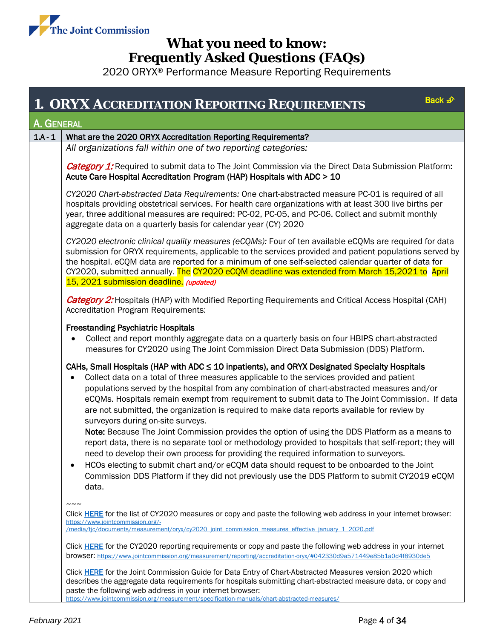

<span id="page-3-2"></span><span id="page-3-1"></span><span id="page-3-0"></span>

| Back £<br><b>1. ORYX ACCREDITATION REPORTING REQUIREMENTS</b>                                                                                                                          |                                                                                                                                                                                                                                                                                                                                                                                                                                                                                                                                        |  |  |  |  |
|----------------------------------------------------------------------------------------------------------------------------------------------------------------------------------------|----------------------------------------------------------------------------------------------------------------------------------------------------------------------------------------------------------------------------------------------------------------------------------------------------------------------------------------------------------------------------------------------------------------------------------------------------------------------------------------------------------------------------------------|--|--|--|--|
| A. GENERAL                                                                                                                                                                             |                                                                                                                                                                                                                                                                                                                                                                                                                                                                                                                                        |  |  |  |  |
| $1.A - 1$                                                                                                                                                                              | What are the 2020 ORYX Accreditation Reporting Requirements?                                                                                                                                                                                                                                                                                                                                                                                                                                                                           |  |  |  |  |
|                                                                                                                                                                                        | All organizations fall within one of two reporting categories:                                                                                                                                                                                                                                                                                                                                                                                                                                                                         |  |  |  |  |
| <b>Category 1:</b> Required to submit data to The Joint Commission via the Direct Data Submission Platform:<br>Acute Care Hospital Accreditation Program (HAP) Hospitals with ADC > 10 |                                                                                                                                                                                                                                                                                                                                                                                                                                                                                                                                        |  |  |  |  |
|                                                                                                                                                                                        | CY2020 Chart-abstracted Data Requirements: One chart-abstracted measure PC-01 is required of all<br>hospitals providing obstetrical services. For health care organizations with at least 300 live births per<br>year, three additional measures are required: PC-02, PC-05, and PC-06. Collect and submit monthly<br>aggregate data on a quarterly basis for calendar year (CY) 2020                                                                                                                                                  |  |  |  |  |
|                                                                                                                                                                                        | CY2020 electronic clinical quality measures (eCQMs): Four of ten available eCQMs are required for data<br>submission for ORYX requirements, applicable to the services provided and patient populations served by<br>the hospital. eCQM data are reported for a minimum of one self-selected calendar quarter of data for<br>CY2020, submitted annually. The CY2020 eCQM deadline was extended from March 15,2021 to April<br>15, 2021 submission deadline. (updated)                                                                  |  |  |  |  |
|                                                                                                                                                                                        | <b>Category 2:</b> Hospitals (HAP) with Modified Reporting Requirements and Critical Access Hospital (CAH)<br><b>Accreditation Program Requirements:</b>                                                                                                                                                                                                                                                                                                                                                                               |  |  |  |  |
|                                                                                                                                                                                        | <b>Freestanding Psychiatric Hospitals</b><br>Collect and report monthly aggregate data on a quarterly basis on four HBIPS chart-abstracted<br>measures for CY2020 using The Joint Commission Direct Data Submission (DDS) Platform.                                                                                                                                                                                                                                                                                                    |  |  |  |  |
|                                                                                                                                                                                        | CAHs, Small Hospitals (HAP with ADC $\leq$ 10 inpatients), and ORYX Designated Specialty Hospitals<br>Collect data on a total of three measures applicable to the services provided and patient<br>populations served by the hospital from any combination of chart-abstracted measures and/or<br>eCQMs. Hospitals remain exempt from requirement to submit data to The Joint Commission. If data<br>are not submitted, the organization is required to make data reports available for review by<br>surveyors during on-site surveys. |  |  |  |  |
|                                                                                                                                                                                        | Note: Because The Joint Commission provides the option of using the DDS Platform as a means to<br>report data, there is no separate tool or methodology provided to hospitals that self-report; they will<br>need to develop their own process for providing the required information to surveyors.                                                                                                                                                                                                                                    |  |  |  |  |
|                                                                                                                                                                                        | HCOs electing to submit chart and/or eCQM data should request to be onboarded to the Joint<br>٠<br>Commission DDS Platform if they did not previously use the DDS Platform to submit CY2019 eCQM<br>data.                                                                                                                                                                                                                                                                                                                              |  |  |  |  |
|                                                                                                                                                                                        | Click HERE for the list of CY2020 measures or copy and paste the following web address in your internet browser:                                                                                                                                                                                                                                                                                                                                                                                                                       |  |  |  |  |
|                                                                                                                                                                                        | https://www.jointcommission.org/-<br>/media/tjc/documents/measurement/oryx/cy2020 joint commission measures effective january 1 2020.pdf                                                                                                                                                                                                                                                                                                                                                                                               |  |  |  |  |
|                                                                                                                                                                                        | Click HERE for the CY2020 reporting requirements or copy and paste the following web address in your internet<br>browser: https://www.jointcommission.org/measurement/reporting/accreditation-oryx/#042330d9a571449e85b1a0d4f8930de5                                                                                                                                                                                                                                                                                                   |  |  |  |  |
|                                                                                                                                                                                        | Click HERE for the Joint Commission Guide for Data Entry of Chart-Abstracted Measures version 2020 which<br>describes the aggregate data requirements for hospitals submitting chart-abstracted measure data, or copy and<br>paste the following web address in your internet browser:<br>https://www.jointcommission.org/measurement/specification-manuals/chart-abstracted-measures/                                                                                                                                                 |  |  |  |  |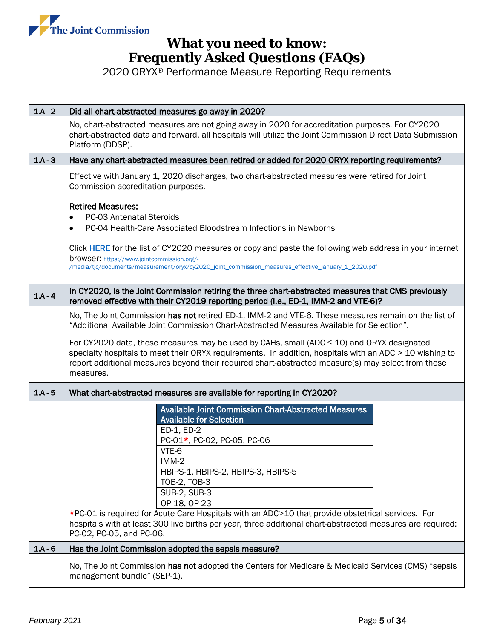

| $1.A - 2$ | Did all chart-abstracted measures go away in 2020?                                                                                                                                                                                                                                                                                                                                                                                                                                                       |  |  |  |
|-----------|----------------------------------------------------------------------------------------------------------------------------------------------------------------------------------------------------------------------------------------------------------------------------------------------------------------------------------------------------------------------------------------------------------------------------------------------------------------------------------------------------------|--|--|--|
|           | No, chart-abstracted measures are not going away in 2020 for accreditation purposes. For CY2020<br>chart-abstracted data and forward, all hospitals will utilize the Joint Commission Direct Data Submission<br>Platform (DDSP).                                                                                                                                                                                                                                                                         |  |  |  |
| $1.A - 3$ | Have any chart-abstracted measures been retired or added for 2020 ORYX reporting requirements?                                                                                                                                                                                                                                                                                                                                                                                                           |  |  |  |
|           | Effective with January 1, 2020 discharges, two chart-abstracted measures were retired for Joint<br>Commission accreditation purposes.                                                                                                                                                                                                                                                                                                                                                                    |  |  |  |
|           | <b>Retired Measures:</b><br><b>PC-03 Antenatal Steroids</b><br>PC-04 Health-Care Associated Bloodstream Infections in Newborns<br>$\bullet$<br>Click HERE for the list of CY2020 measures or copy and paste the following web address in your internet<br><b>browser:</b> https://www.jointcommission.org/-<br>/media/tic/documents/measurement/oryx/cy2020 joint commission measures effective january 1 2020.pdf                                                                                       |  |  |  |
| $1.A - 4$ | In CY2020, is the Joint Commission retiring the three chart-abstracted measures that CMS previously<br>removed effective with their CY2019 reporting period (i.e., ED-1, IMM-2 and VTE-6)?                                                                                                                                                                                                                                                                                                               |  |  |  |
|           | No, The Joint Commission has not retired ED-1, IMM-2 and VTE-6. These measures remain on the list of<br>"Additional Available Joint Commission Chart-Abstracted Measures Available for Selection".                                                                                                                                                                                                                                                                                                       |  |  |  |
|           | For CY2020 data, these measures may be used by CAHs, small (ADC $\leq$ 10) and ORYX designated<br>specialty hospitals to meet their ORYX requirements. In addition, hospitals with an ADC > 10 wishing to<br>report additional measures beyond their required chart-abstracted measure(s) may select from these<br>measures.                                                                                                                                                                             |  |  |  |
| $1.A - 5$ | What chart-abstracted measures are available for reporting in CY2020?                                                                                                                                                                                                                                                                                                                                                                                                                                    |  |  |  |
|           | <b>Available Joint Commission Chart-Abstracted Measures</b><br><b>Available for Selection</b><br>ED-1, ED-2<br>PC-01*, PC-02, PC-05, PC-06<br>VTE-6<br>IMM-2<br>HBIPS-1, HBIPS-2, HBIPS-3, HBIPS-5<br>TOB-2, TOB-3<br><b>SUB-2, SUB-3</b><br>OP-18, OP-23<br>*PC-01 is required for Acute Care Hospitals with an ADC>10 that provide obstetrical services. For<br>hospitals with at least 300 live births per year, three additional chart-abstracted measures are required:<br>PC-02, PC-05, and PC-06. |  |  |  |
| $1A-6$    | Has the Joint Commission adopted the sepsis measure?                                                                                                                                                                                                                                                                                                                                                                                                                                                     |  |  |  |
|           | No, The Joint Commission has not adopted the Centers for Medicare & Medicaid Services (CMS) "sepsis<br>management bundle" (SEP-1).                                                                                                                                                                                                                                                                                                                                                                       |  |  |  |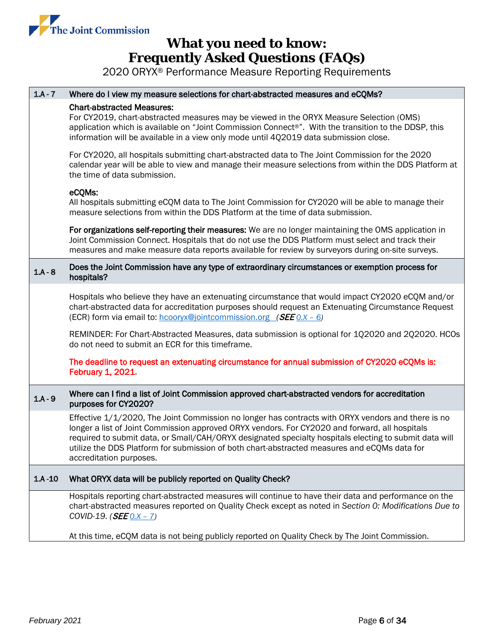

| $1.A - 7$  | Where do I view my measure selections for chart-abstracted measures and eCQMs?                                                                                                                                                                                                                                                                                                                                                            |  |  |  |
|------------|-------------------------------------------------------------------------------------------------------------------------------------------------------------------------------------------------------------------------------------------------------------------------------------------------------------------------------------------------------------------------------------------------------------------------------------------|--|--|--|
|            | <b>Chart-abstracted Measures:</b><br>For CY2019, chart-abstracted measures may be viewed in the ORYX Measure Selection (OMS)<br>application which is available on "Joint Commission Connect®". With the transition to the DDSP, this<br>information will be available in a view only mode until 402019 data submission close.                                                                                                             |  |  |  |
|            | For CY2020, all hospitals submitting chart-abstracted data to The Joint Commission for the 2020<br>calendar year will be able to view and manage their measure selections from within the DDS Platform at<br>the time of data submission.                                                                                                                                                                                                 |  |  |  |
|            | eCQMs:<br>All hospitals submitting eCQM data to The Joint Commission for CY2020 will be able to manage their<br>measure selections from within the DDS Platform at the time of data submission.                                                                                                                                                                                                                                           |  |  |  |
|            | For organizations self-reporting their measures: We are no longer maintaining the OMS application in<br>Joint Commission Connect. Hospitals that do not use the DDS Platform must select and track their<br>measures and make measure data reports available for review by surveyors during on-site surveys.                                                                                                                              |  |  |  |
| $1.A - 8$  | Does the Joint Commission have any type of extraordinary circumstances or exemption process for<br>hospitals?                                                                                                                                                                                                                                                                                                                             |  |  |  |
|            | Hospitals who believe they have an extenuating circumstance that would impact CY2020 eCQM and/or<br>chart-abstracted data for accreditation purposes should request an Extenuating Circumstance Request<br>(ECR) form via email to: hcooryx@jointcommission.org (SEE 0.X - 6)                                                                                                                                                             |  |  |  |
|            | REMINDER: For Chart-Abstracted Measures, data submission is optional for 1Q2020 and 2Q2020. HCOs<br>do not need to submit an ECR for this timeframe.                                                                                                                                                                                                                                                                                      |  |  |  |
|            | The deadline to request an extenuating circumstance for annual submission of CY2020 eCQMs is:<br><b>February 1, 2021</b>                                                                                                                                                                                                                                                                                                                  |  |  |  |
| $1.A - 9$  | Where can I find a list of Joint Commission approved chart-abstracted vendors for accreditation<br>purposes for CY2020?                                                                                                                                                                                                                                                                                                                   |  |  |  |
|            | Effective 1/1/2020, The Joint Commission no longer has contracts with ORYX vendors and there is no<br>longer a list of Joint Commission approved ORYX vendors. For CY2020 and forward, all hospitals<br>required to submit data, or Small/CAH/ORYX designated specialty hospitals electing to submit data will<br>utilize the DDS Platform for submission of both chart-abstracted measures and eCQMs data for<br>accreditation purposes. |  |  |  |
| $1.A - 10$ | What ORYX data will be publicly reported on Quality Check?                                                                                                                                                                                                                                                                                                                                                                                |  |  |  |
|            | Hospitals reporting chart-abstracted measures will continue to have their data and performance on the<br>chart-abstracted measures reported on Quality Check except as noted in Section O: Modifications Due to<br>COVID-19. $(SEF 0.X - 7)$                                                                                                                                                                                              |  |  |  |
|            | At this time, eCQM data is not being publicly reported on Quality Check by The Joint Commission.                                                                                                                                                                                                                                                                                                                                          |  |  |  |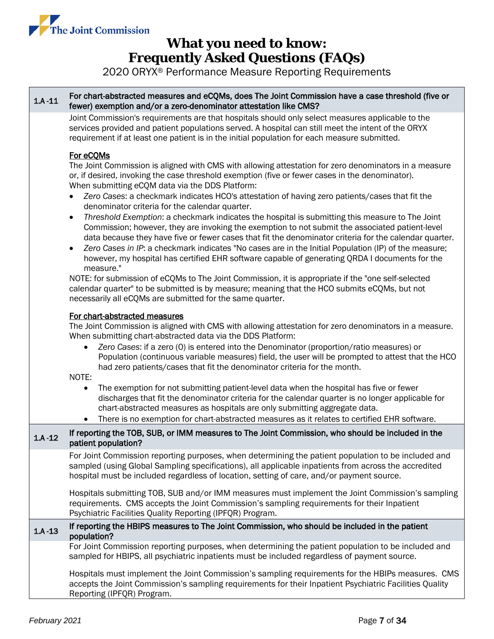

2020 ORYX® Performance Measure Reporting Requirements

#### <span id="page-6-0"></span>1.A -11 For chart-abstracted measures and eCQMs, does The Joint Commission have a case threshold (five or<br>1.A -11 feveral examples and (as a gase dependence of catalog like OMCO) fewer) exemption and/or a zero-denominator attestation like CMS?

Joint Commission's requirements are that hospitals should only select measures applicable to the services provided and patient populations served. A hospital can still meet the intent of the ORYX requirement if at least one patient is in the initial population for each measure submitted.

### For eCQMs

The Joint Commission is aligned with CMS with allowing attestation for zero denominators in a measure or, if desired, invoking the case threshold exemption (five or fewer cases in the denominator). When submitting eCQM data via the DDS Platform:

- *Zero Cases*: a checkmark indicates HCO's attestation of having zero patients/cases that fit the denominator criteria for the calendar quarter.
- *Threshold Exemption*: a checkmark indicates the hospital is submitting this measure to The Joint Commission; however, they are invoking the exemption to not submit the associated patient-level data because they have five or fewer cases that fit the denominator criteria for the calendar quarter.
- *Zero Cases in IP*: a checkmark indicates "No cases are in the Initial Population (IP) of the measure; however, my hospital has certified EHR software capable of generating QRDA I documents for the measure."

NOTE: for submission of eCQMs to The Joint Commission, it is appropriate if the "one self-selected calendar quarter" to be submitted is by measure; meaning that the HCO submits eCQMs, but not necessarily all eCQMs are submitted for the same quarter.

### For chart-abstracted measures

The Joint Commission is aligned with CMS with allowing attestation for zero denominators in a measure. When submitting chart-abstracted data via the DDS Platform:

• *Zero Cases*: if a zero (0) is entered into the Denominator (proportion/ratio measures) or Population (continuous variable measures) field, the user will be prompted to attest that the HCO had zero patients/cases that fit the denominator criteria for the month.

NOTE:

- The exemption for not submitting patient-level data when the hospital has five or fewer discharges that fit the denominator criteria for the calendar quarter is no longer applicable for chart-abstracted measures as hospitals are only submitting aggregate data.
- There is no exemption for chart-abstracted measures as it relates to certified EHR software.

#### 1.A -12 If reporting the TOB, SUB, or IMM measures to The Joint Commission, who should be included in the patient population?

For Joint Commission reporting purposes, when determining the patient population to be included and sampled (using Global Sampling specifications), all applicable inpatients from across the accredited hospital must be included regardless of location, setting of care, and/or payment source.

Hospitals submitting TOB, SUB and/or IMM measures must implement the Joint Commission's sampling requirements. CMS accepts the Joint Commission's sampling requirements for their Inpatient Psychiatric Facilities Quality Reporting (IPFQR) Program.

### 1.A -13 If reporting the HBIPS measures to The Joint Commission, who should be included in the patient population?

For Joint Commission reporting purposes, when determining the patient population to be included and sampled for HBIPS, all psychiatric inpatients must be included regardless of payment source.

Hospitals must implement the Joint Commission's sampling requirements for the HBIPs measures. CMS accepts the Joint Commission's sampling requirements for their Inpatient Psychiatric Facilities Quality Reporting (IPFQR) Program.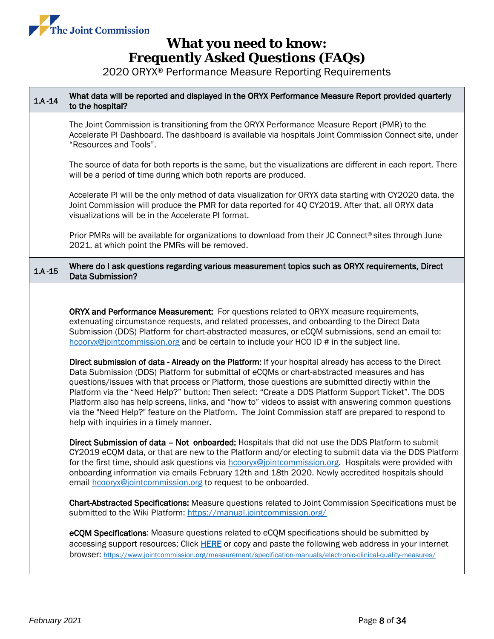

<span id="page-7-0"></span>

| What data will be reported and displayed in the ORYX Performance Measure Report provided quarterly<br>to the hospital?                                                                                                                                                                                                                                                                                                                                                                                                                                                                                                                                                                                                                                                                                                                                                                                                                                                                                                                                                                                                                                                                                                                                                                                                                                                                                                                                                                                                                                                                                                                                                                                                                                                                                                                                                                                                                               |  |  |  |
|------------------------------------------------------------------------------------------------------------------------------------------------------------------------------------------------------------------------------------------------------------------------------------------------------------------------------------------------------------------------------------------------------------------------------------------------------------------------------------------------------------------------------------------------------------------------------------------------------------------------------------------------------------------------------------------------------------------------------------------------------------------------------------------------------------------------------------------------------------------------------------------------------------------------------------------------------------------------------------------------------------------------------------------------------------------------------------------------------------------------------------------------------------------------------------------------------------------------------------------------------------------------------------------------------------------------------------------------------------------------------------------------------------------------------------------------------------------------------------------------------------------------------------------------------------------------------------------------------------------------------------------------------------------------------------------------------------------------------------------------------------------------------------------------------------------------------------------------------------------------------------------------------------------------------------------------------|--|--|--|
| The Joint Commission is transitioning from the ORYX Performance Measure Report (PMR) to the<br>Accelerate PI Dashboard. The dashboard is available via hospitals Joint Commission Connect site, under<br>"Resources and Tools".                                                                                                                                                                                                                                                                                                                                                                                                                                                                                                                                                                                                                                                                                                                                                                                                                                                                                                                                                                                                                                                                                                                                                                                                                                                                                                                                                                                                                                                                                                                                                                                                                                                                                                                      |  |  |  |
| The source of data for both reports is the same, but the visualizations are different in each report. There<br>will be a period of time during which both reports are produced.                                                                                                                                                                                                                                                                                                                                                                                                                                                                                                                                                                                                                                                                                                                                                                                                                                                                                                                                                                                                                                                                                                                                                                                                                                                                                                                                                                                                                                                                                                                                                                                                                                                                                                                                                                      |  |  |  |
| Accelerate PI will be the only method of data visualization for ORYX data starting with CY2020 data. the<br>Joint Commission will produce the PMR for data reported for 4Q CY2019. After that, all ORYX data<br>visualizations will be in the Accelerate PI format.                                                                                                                                                                                                                                                                                                                                                                                                                                                                                                                                                                                                                                                                                                                                                                                                                                                                                                                                                                                                                                                                                                                                                                                                                                                                                                                                                                                                                                                                                                                                                                                                                                                                                  |  |  |  |
| Prior PMRs will be available for organizations to download from their JC Connect <sup>®</sup> sites through June<br>2021, at which point the PMRs will be removed.                                                                                                                                                                                                                                                                                                                                                                                                                                                                                                                                                                                                                                                                                                                                                                                                                                                                                                                                                                                                                                                                                                                                                                                                                                                                                                                                                                                                                                                                                                                                                                                                                                                                                                                                                                                   |  |  |  |
| Where do I ask questions regarding various measurement topics such as ORYX requirements, Direct<br>Data Submission?                                                                                                                                                                                                                                                                                                                                                                                                                                                                                                                                                                                                                                                                                                                                                                                                                                                                                                                                                                                                                                                                                                                                                                                                                                                                                                                                                                                                                                                                                                                                                                                                                                                                                                                                                                                                                                  |  |  |  |
| ORYX and Performance Measurement: For questions related to ORYX measure requirements,<br>extenuating circumstance requests, and related processes, and onboarding to the Direct Data<br>Submission (DDS) Platform for chart-abstracted measures, or eCQM submissions, send an email to:<br>hcooryx@jointcommission.org and be certain to include your HCO ID # in the subject line.<br>Direct submission of data - Already on the Platform: If your hospital already has access to the Direct<br>Data Submission (DDS) Platform for submittal of eCQMs or chart-abstracted measures and has<br>questions/issues with that process or Platform, those questions are submitted directly within the<br>Platform via the "Need Help?" button; Then select: "Create a DDS Platform Support Ticket". The DDS<br>Platform also has help screens, links, and "how to" videos to assist with answering common questions<br>via the "Need Help?" feature on the Platform. The Joint Commission staff are prepared to respond to<br>help with inquiries in a timely manner.<br>Direct Submission of data - Not onboarded: Hospitals that did not use the DDS Platform to submit<br>CY2019 eCQM data, or that are new to the Platform and/or electing to submit data via the DDS Platform<br>for the first time, should ask questions via hcooryx@jointcommission.org. Hospitals were provided with<br>onboarding information via emails February 12th and 18th 2020. Newly accredited hospitals should<br>email hcooryx@jointcommission.org to request to be onboarded.<br>Chart-Abstracted Specifications: Measure questions related to Joint Commission Specifications must be<br>submitted to the Wiki Platform: https://manual.jointcommission.org/<br>eCQM Specifications: Measure questions related to eCQM specifications should be submitted by<br>accessing support resources; Click HERE or copy and paste the following web address in your internet |  |  |  |
| browser: https://www.jointcommission.org/measurement/specification-manuals/electronic-clinical-quality-measures/                                                                                                                                                                                                                                                                                                                                                                                                                                                                                                                                                                                                                                                                                                                                                                                                                                                                                                                                                                                                                                                                                                                                                                                                                                                                                                                                                                                                                                                                                                                                                                                                                                                                                                                                                                                                                                     |  |  |  |
|                                                                                                                                                                                                                                                                                                                                                                                                                                                                                                                                                                                                                                                                                                                                                                                                                                                                                                                                                                                                                                                                                                                                                                                                                                                                                                                                                                                                                                                                                                                                                                                                                                                                                                                                                                                                                                                                                                                                                      |  |  |  |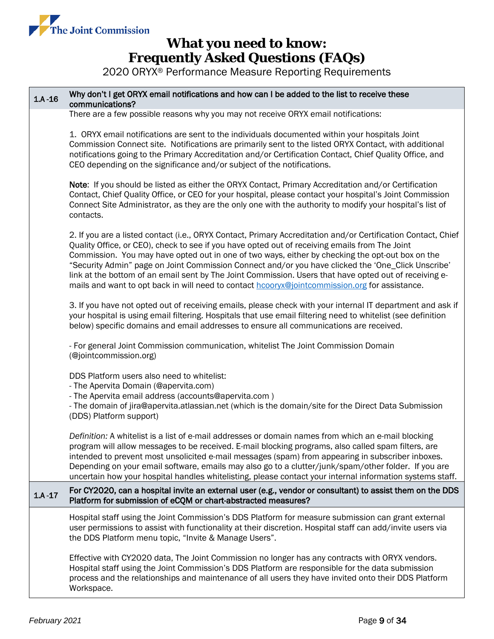

| $1.A - 16$ | Why don't I get ORYX email notifications and how can I be added to the list to receive these<br>communications?                                                                                                                                                                                                                                                                                                                                                                                                                                                                                                                       |  |  |
|------------|---------------------------------------------------------------------------------------------------------------------------------------------------------------------------------------------------------------------------------------------------------------------------------------------------------------------------------------------------------------------------------------------------------------------------------------------------------------------------------------------------------------------------------------------------------------------------------------------------------------------------------------|--|--|
|            | There are a few possible reasons why you may not receive ORYX email notifications:                                                                                                                                                                                                                                                                                                                                                                                                                                                                                                                                                    |  |  |
|            | 1. ORYX email notifications are sent to the individuals documented within your hospitals Joint<br>Commission Connect site. Notifications are primarily sent to the listed ORYX Contact, with additional<br>notifications going to the Primary Accreditation and/or Certification Contact, Chief Quality Office, and<br>CEO depending on the significance and/or subject of the notifications.                                                                                                                                                                                                                                         |  |  |
|            | Note: If you should be listed as either the ORYX Contact, Primary Accreditation and/or Certification<br>Contact, Chief Quality Office, or CEO for your hospital, please contact your hospital's Joint Commission<br>Connect Site Administrator, as they are the only one with the authority to modify your hospital's list of<br>contacts.                                                                                                                                                                                                                                                                                            |  |  |
|            | 2. If you are a listed contact (i.e., ORYX Contact, Primary Accreditation and/or Certification Contact, Chief<br>Quality Office, or CEO), check to see if you have opted out of receiving emails from The Joint<br>Commission. You may have opted out in one of two ways, either by checking the opt-out box on the<br>"Security Admin" page on Joint Commission Connect and/or you have clicked the 'One_Click Unscribe'<br>link at the bottom of an email sent by The Joint Commission. Users that have opted out of receiving e-<br>mails and want to opt back in will need to contact hcooryx@jointcommission.org for assistance. |  |  |
|            | 3. If you have not opted out of receiving emails, please check with your internal IT department and ask if<br>your hospital is using email filtering. Hospitals that use email filtering need to whitelist (see definition<br>below) specific domains and email addresses to ensure all communications are received.<br>- For general Joint Commission communication, whitelist The Joint Commission Domain<br>(@jointcommission.org)                                                                                                                                                                                                 |  |  |
|            |                                                                                                                                                                                                                                                                                                                                                                                                                                                                                                                                                                                                                                       |  |  |
|            | DDS Platform users also need to whitelist:<br>- The Apervita Domain (@apervita.com)<br>- The Apervita email address (accounts@apervita.com)<br>- The domain of jira@apervita.atlassian.net (which is the domain/site for the Direct Data Submission<br>(DDS) Platform support)                                                                                                                                                                                                                                                                                                                                                        |  |  |
|            | Definition: A whitelist is a list of e-mail addresses or domain names from which an e-mail blocking<br>program will allow messages to be received. E-mail blocking programs, also called spam filters, are<br>intended to prevent most unsolicited e-mail messages (spam) from appearing in subscriber inboxes.<br>Depending on your email software, emails may also go to a clutter/junk/spam/other folder. If you are<br>uncertain how your hospital handles whitelisting, please contact your internal information systems staff.                                                                                                  |  |  |
| $1.A - 17$ | For CY2020, can a hospital invite an external user (e.g., vendor or consultant) to assist them on the DDS<br>Platform for submission of eCQM or chart-abstracted measures?                                                                                                                                                                                                                                                                                                                                                                                                                                                            |  |  |
|            | Hospital staff using the Joint Commission's DDS Platform for measure submission can grant external<br>user permissions to assist with functionality at their discretion. Hospital staff can add/invite users via<br>the DDS Platform menu topic, "Invite & Manage Users".                                                                                                                                                                                                                                                                                                                                                             |  |  |
|            | Effective with CY2020 data, The Joint Commission no longer has any contracts with ORYX vendors.<br>Hospital staff using the Joint Commission's DDS Platform are responsible for the data submission<br>process and the relationships and maintenance of all users they have invited onto their DDS Platform<br>Workspace.                                                                                                                                                                                                                                                                                                             |  |  |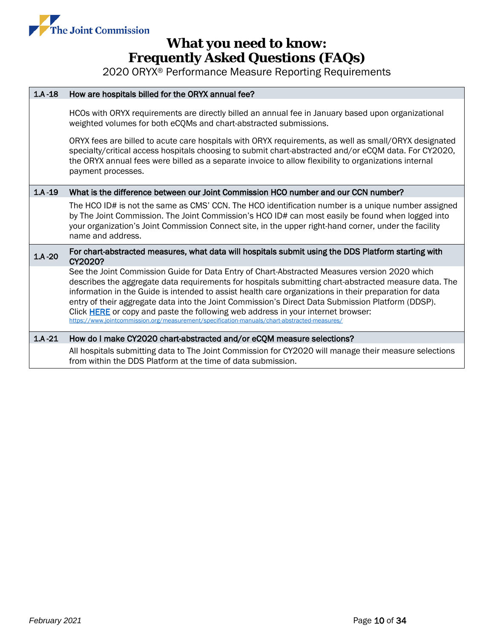

| $1.A - 18$ | How are hospitals billed for the ORYX annual fee?                                                                                                                                                                                                                                                                                                                                                                                                                                                                                                                                                         |  |  |  |
|------------|-----------------------------------------------------------------------------------------------------------------------------------------------------------------------------------------------------------------------------------------------------------------------------------------------------------------------------------------------------------------------------------------------------------------------------------------------------------------------------------------------------------------------------------------------------------------------------------------------------------|--|--|--|
|            | HCOs with ORYX requirements are directly billed an annual fee in January based upon organizational<br>weighted volumes for both eCQMs and chart-abstracted submissions.                                                                                                                                                                                                                                                                                                                                                                                                                                   |  |  |  |
|            | ORYX fees are billed to acute care hospitals with ORYX requirements, as well as small/ORYX designated<br>specialty/critical access hospitals choosing to submit chart-abstracted and/or eCQM data. For CY2020,<br>the ORYX annual fees were billed as a separate invoice to allow flexibility to organizations internal<br>payment processes.                                                                                                                                                                                                                                                             |  |  |  |
| $1.A - 19$ | What is the difference between our Joint Commission HCO number and our CCN number?                                                                                                                                                                                                                                                                                                                                                                                                                                                                                                                        |  |  |  |
|            | The HCO ID# is not the same as CMS' CCN. The HCO identification number is a unique number assigned<br>by The Joint Commission. The Joint Commission's HCO ID# can most easily be found when logged into<br>your organization's Joint Commission Connect site, in the upper right-hand corner, under the facility<br>name and address.                                                                                                                                                                                                                                                                     |  |  |  |
| $1.A - 20$ | For chart-abstracted measures, what data will hospitals submit using the DDS Platform starting with<br>CY2020?                                                                                                                                                                                                                                                                                                                                                                                                                                                                                            |  |  |  |
|            | See the Joint Commission Guide for Data Entry of Chart-Abstracted Measures version 2020 which<br>describes the aggregate data requirements for hospitals submitting chart-abstracted measure data. The<br>information in the Guide is intended to assist health care organizations in their preparation for data<br>entry of their aggregate data into the Joint Commission's Direct Data Submission Platform (DDSP).<br>Click HERE or copy and paste the following web address in your internet browser:<br>https://www.jointcommission.org/measurement/specification-manuals/chart-abstracted-measures/ |  |  |  |
| $1.A - 21$ | How do I make CY2020 chart-abstracted and/or eCQM measure selections?                                                                                                                                                                                                                                                                                                                                                                                                                                                                                                                                     |  |  |  |
|            | All hospitals submitting data to The Joint Commission for CY2020 will manage their measure selections<br>from within the DDS Platform at the time of data submission.                                                                                                                                                                                                                                                                                                                                                                                                                                     |  |  |  |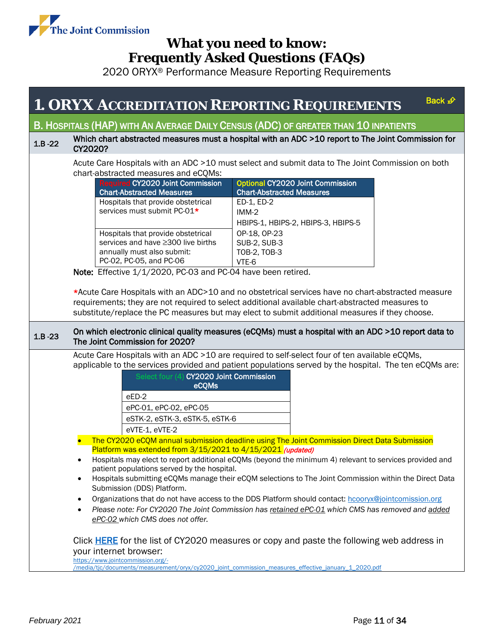

2020 ORYX® Performance Measure Reporting Requirements

### **1. ORYX ACCREDITATION REPORTING REQUIREM[ENTS](#page-0-0)**

Back  $\mathcal{D}$ 

### <span id="page-10-0"></span>B. HOSPITALS (HAP) WITH AN AVERAGE DAILY CENSUS (ADC) OF GREATER THAN 10 INPATIENTS

#### 1.B -22 Which chart abstracted measures must a hospital with an ADC >10 report to The Joint Commission for CY2020?

Acute Care Hospitals with an ADC >10 must select and submit data to The Joint Commission on both chart-abstracted measures and eCQMs:

| <b>Required CY2020 Joint Commission</b> | <b>Optional CY2020 Joint Commission</b> |
|-----------------------------------------|-----------------------------------------|
| <b>Chart-Abstracted Measures</b>        | <b>Chart-Abstracted Measures</b>        |
| Hospitals that provide obstetrical      | ED-1, ED-2                              |
| services must submit PC-01*             | $IMM-2$                                 |
|                                         | HBIPS-1, HBIPS-2, HBIPS-3, HBIPS-5      |
| Hospitals that provide obstetrical      | OP-18, OP-23                            |
| services and have ≥300 live births      | <b>SUB-2, SUB-3</b>                     |
| annually must also submit:              | TOB-2, TOB-3                            |
| PC-02, PC-05, and PC-06                 | VTE-6                                   |

Note: Effective 1/1/2020, PC-03 and PC-04 have been retired.

\*Acute Care Hospitals with an ADC>10 and no obstetrical services have no chart-abstracted measure requirements; they are not required to select additional available chart-abstracted measures to substitute/replace the PC measures but may elect to submit additional measures if they choose.

#### 1.B -23 On which electronic clinical quality measures (eCQMs) must a hospital with an ADC >10 report data to The Joint Commission for 2020?

Acute Care Hospitals with an ADC >10 are required to self-select four of ten available eCQMs, applicable to the services provided and patient populations served by the hospital. The ten eCQMs are:

| Select four (4) CY2020 Joint Commission<br>eCQMs |
|--------------------------------------------------|
| $eED-2$                                          |
| ePC-01, ePC-02, ePC-05                           |
| eSTK-2, eSTK-3, eSTK-5, eSTK-6                   |
| eVTE-1, eVTE-2                                   |

• The CY2020 eCQM annual submission deadline using The Joint Commission Direct Data Submission Platform was extended from 3/15/2021 to 4/15/2021 (updated)

• Hospitals may elect to report additional eCQMs (beyond the minimum 4) relevant to services provided and patient populations served by the hospital.

- Hospitals submitting eCQMs manage their eCQM selections to The Joint Commission within the Direct Data Submission (DDS) Platform.
- Organizations that do not have access to the DDS Platform should contact: [hcooryx@jointcomission.org](mailto:hcooryx@jointcomission.org)
- *Please note: For CY2020 The Joint Commission has retained ePC-01 which CMS has removed and added ePC-02 which CMS does not offer.*

Click [HERE](https://www.jointcommission.org/-/media/tjc/documents/measurement/oryx/cy2020_joint_commission_measures_effective_january_1_2020.pdf) for the list of CY2020 measures or copy and paste the following web address in your internet browser:

[https://www.jointcommission.org/-](https://www.jointcommission.org/-/media/tjc/documents/measurement/oryx/cy2020_joint_commission_measures_effective_january_1_2020.pdf)

[/media/tjc/documents/measurement/oryx/cy2020\\_joint\\_commission\\_measures\\_effective\\_january\\_1\\_2020.pdf](https://www.jointcommission.org/-/media/tjc/documents/measurement/oryx/cy2020_joint_commission_measures_effective_january_1_2020.pdf)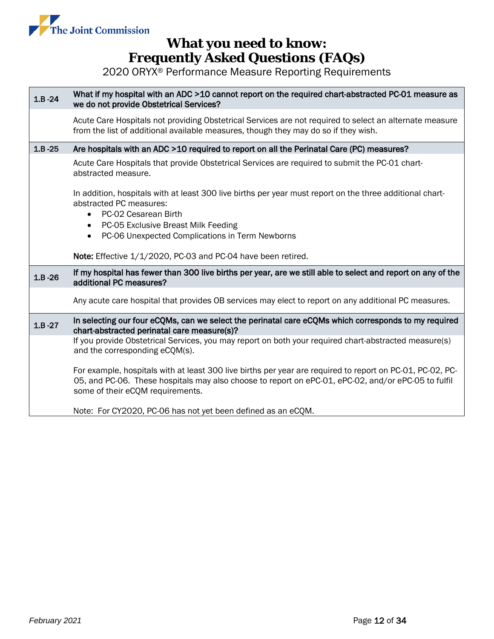

| $1.B - 24$ | What if my hospital with an ADC >10 cannot report on the required chart-abstracted PC-01 measure as<br>we do not provide Obstetrical Services?                                                                                                                                               |  |  |
|------------|----------------------------------------------------------------------------------------------------------------------------------------------------------------------------------------------------------------------------------------------------------------------------------------------|--|--|
|            | Acute Care Hospitals not providing Obstetrical Services are not required to select an alternate measure<br>from the list of additional available measures, though they may do so if they wish.                                                                                               |  |  |
| $1.B - 25$ | Are hospitals with an ADC >10 required to report on all the Perinatal Care (PC) measures?                                                                                                                                                                                                    |  |  |
|            | Acute Care Hospitals that provide Obstetrical Services are required to submit the PC-01 chart-<br>abstracted measure.                                                                                                                                                                        |  |  |
|            | In addition, hospitals with at least 300 live births per year must report on the three additional chart-<br>abstracted PC measures:<br>PC-02 Cesarean Birth<br>$\bullet$<br>PC-05 Exclusive Breast Milk Feeding<br>$\bullet$<br>PC-06 Unexpected Complications in Term Newborns<br>$\bullet$ |  |  |
|            | Note: Effective 1/1/2020, PC-03 and PC-04 have been retired.                                                                                                                                                                                                                                 |  |  |
| $1.B - 26$ | If my hospital has fewer than 300 live births per year, are we still able to select and report on any of the<br>additional PC measures?                                                                                                                                                      |  |  |
|            | Any acute care hospital that provides OB services may elect to report on any additional PC measures.                                                                                                                                                                                         |  |  |
| $1.B - 27$ | In selecting our four eCQMs, can we select the perinatal care eCQMs which corresponds to my required<br>chart-abstracted perinatal care measure(s)?                                                                                                                                          |  |  |
|            | If you provide Obstetrical Services, you may report on both your required chart-abstracted measure(s)<br>and the corresponding eCQM(s).                                                                                                                                                      |  |  |
|            | For example, hospitals with at least 300 live births per year are required to report on PC-01, PC-02, PC-<br>05, and PC-06. These hospitals may also choose to report on ePC-01, ePC-02, and/or ePC-05 to fulfil<br>some of their eCQM requirements.                                         |  |  |
|            | Note: For CY2020, PC-06 has not yet been defined as an eCQM.                                                                                                                                                                                                                                 |  |  |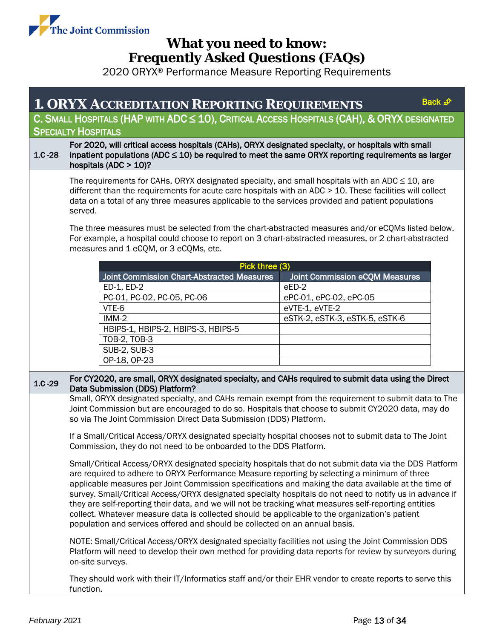

<span id="page-12-0"></span>

|                                                                                                  | <b>1. ORYX ACCREDITATION REPORTING REQUIREMENTS</b>                                                                                                                                                                                                                                                                                                                                                                                                                                                                                                                                                                                                                                                                                                                                                                                                                                                                                                         |                                       | Back $\mathcal{D}$ |  |  |
|--------------------------------------------------------------------------------------------------|-------------------------------------------------------------------------------------------------------------------------------------------------------------------------------------------------------------------------------------------------------------------------------------------------------------------------------------------------------------------------------------------------------------------------------------------------------------------------------------------------------------------------------------------------------------------------------------------------------------------------------------------------------------------------------------------------------------------------------------------------------------------------------------------------------------------------------------------------------------------------------------------------------------------------------------------------------------|---------------------------------------|--------------------|--|--|
| C. SMALL HOSPITALS (HAP WITH ADC $\leq 10$ ), CRITICAL ACCESS HOSPITALS (CAH), & ORYX DESIGNATED |                                                                                                                                                                                                                                                                                                                                                                                                                                                                                                                                                                                                                                                                                                                                                                                                                                                                                                                                                             |                                       |                    |  |  |
|                                                                                                  | <b>SPECIALTY HOSPITALS</b>                                                                                                                                                                                                                                                                                                                                                                                                                                                                                                                                                                                                                                                                                                                                                                                                                                                                                                                                  |                                       |                    |  |  |
| $1.C - 28$                                                                                       | For 2020, will critical access hospitals (CAHs), ORYX designated specialty, or hospitals with small<br>inpatient populations (ADC $\leq$ 10) be required to meet the same ORYX reporting requirements as larger<br>hospitals (ADC $> 10$ )?                                                                                                                                                                                                                                                                                                                                                                                                                                                                                                                                                                                                                                                                                                                 |                                       |                    |  |  |
|                                                                                                  | The requirements for CAHs, ORYX designated specialty, and small hospitals with an ADC $\leq$ 10, are<br>different than the requirements for acute care hospitals with an ADC $> 10$ . These facilities will collect<br>data on a total of any three measures applicable to the services provided and patient populations<br>served.                                                                                                                                                                                                                                                                                                                                                                                                                                                                                                                                                                                                                         |                                       |                    |  |  |
|                                                                                                  | The three measures must be selected from the chart-abstracted measures and/or eCQMs listed below.<br>For example, a hospital could choose to report on 3 chart-abstracted measures, or 2 chart-abstracted<br>measures and 1 eCQM, or 3 eCQMs, etc.                                                                                                                                                                                                                                                                                                                                                                                                                                                                                                                                                                                                                                                                                                          |                                       |                    |  |  |
|                                                                                                  |                                                                                                                                                                                                                                                                                                                                                                                                                                                                                                                                                                                                                                                                                                                                                                                                                                                                                                                                                             | Pick three (3)                        |                    |  |  |
|                                                                                                  | <b>Joint Commission Chart-Abstracted Measures</b>                                                                                                                                                                                                                                                                                                                                                                                                                                                                                                                                                                                                                                                                                                                                                                                                                                                                                                           | <b>Joint Commission eCQM Measures</b> |                    |  |  |
|                                                                                                  | ED-1, ED-2                                                                                                                                                                                                                                                                                                                                                                                                                                                                                                                                                                                                                                                                                                                                                                                                                                                                                                                                                  | eED-2                                 |                    |  |  |
|                                                                                                  | PC-01, PC-02, PC-05, PC-06                                                                                                                                                                                                                                                                                                                                                                                                                                                                                                                                                                                                                                                                                                                                                                                                                                                                                                                                  | ePC-01, ePC-02, ePC-05                |                    |  |  |
|                                                                                                  | VTE-6                                                                                                                                                                                                                                                                                                                                                                                                                                                                                                                                                                                                                                                                                                                                                                                                                                                                                                                                                       | eVTE-1, eVTE-2                        |                    |  |  |
|                                                                                                  | $IMM-2$                                                                                                                                                                                                                                                                                                                                                                                                                                                                                                                                                                                                                                                                                                                                                                                                                                                                                                                                                     | eSTK-2, eSTK-3, eSTK-5, eSTK-6        |                    |  |  |
|                                                                                                  | HBIPS-1, HBIPS-2, HBIPS-3, HBIPS-5                                                                                                                                                                                                                                                                                                                                                                                                                                                                                                                                                                                                                                                                                                                                                                                                                                                                                                                          |                                       |                    |  |  |
|                                                                                                  | TOB-2, TOB-3                                                                                                                                                                                                                                                                                                                                                                                                                                                                                                                                                                                                                                                                                                                                                                                                                                                                                                                                                |                                       |                    |  |  |
|                                                                                                  | <b>SUB-2, SUB-3</b>                                                                                                                                                                                                                                                                                                                                                                                                                                                                                                                                                                                                                                                                                                                                                                                                                                                                                                                                         |                                       |                    |  |  |
|                                                                                                  | OP-18, OP-23                                                                                                                                                                                                                                                                                                                                                                                                                                                                                                                                                                                                                                                                                                                                                                                                                                                                                                                                                |                                       |                    |  |  |
| $1.C - 29$                                                                                       | For CY2020, are small, ORYX designated specialty, and CAHs required to submit data using the Direct<br>Data Submission (DDS) Platform?                                                                                                                                                                                                                                                                                                                                                                                                                                                                                                                                                                                                                                                                                                                                                                                                                      |                                       |                    |  |  |
|                                                                                                  | Small, ORYX designated specialty, and CAHs remain exempt from the requirement to submit data to The<br>Joint Commission but are encouraged to do so. Hospitals that choose to submit CY2020 data, may do<br>so via The Joint Commission Direct Data Submission (DDS) Platform.<br>If a Small/Critical Access/ORYX designated specialty hospital chooses not to submit data to The Joint<br>Commission, they do not need to be onboarded to the DDS Platform.                                                                                                                                                                                                                                                                                                                                                                                                                                                                                                |                                       |                    |  |  |
|                                                                                                  |                                                                                                                                                                                                                                                                                                                                                                                                                                                                                                                                                                                                                                                                                                                                                                                                                                                                                                                                                             |                                       |                    |  |  |
|                                                                                                  | Small/Critical Access/ORYX designated specialty hospitals that do not submit data via the DDS Platform<br>are required to adhere to ORYX Performance Measure reporting by selecting a minimum of three<br>applicable measures per Joint Commission specifications and making the data available at the time of<br>survey. Small/Critical Access/ORYX designated specialty hospitals do not need to notify us in advance if<br>they are self-reporting their data, and we will not be tracking what measures self-reporting entities<br>collect. Whatever measure data is collected should be applicable to the organization's patient<br>population and services offered and should be collected on an annual basis.<br>NOTE: Small/Critical Access/ORYX designated specialty facilities not using the Joint Commission DDS<br>Platform will need to develop their own method for providing data reports for review by surveyors during<br>on-site surveys. |                                       |                    |  |  |
|                                                                                                  |                                                                                                                                                                                                                                                                                                                                                                                                                                                                                                                                                                                                                                                                                                                                                                                                                                                                                                                                                             |                                       |                    |  |  |
|                                                                                                  | They should work with their IT/Informatics staff and/or their EHR vendor to create reports to serve this<br>function.                                                                                                                                                                                                                                                                                                                                                                                                                                                                                                                                                                                                                                                                                                                                                                                                                                       |                                       |                    |  |  |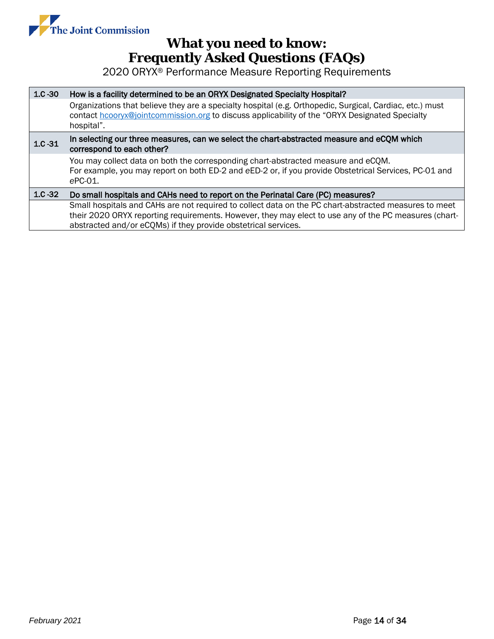

| $1.C - 30$ | How is a facility determined to be an ORYX Designated Specialty Hospital?                                                                                                                                                |  |  |  |  |
|------------|--------------------------------------------------------------------------------------------------------------------------------------------------------------------------------------------------------------------------|--|--|--|--|
|            | Organizations that believe they are a specialty hospital (e.g. Orthopedic, Surgical, Cardiac, etc.) must<br>contact hcooryx@jointcommission.org to discuss applicability of the "ORYX Designated Specialty<br>hospital". |  |  |  |  |
| $1.C - 31$ | In selecting our three measures, can we select the chart-abstracted measure and eCQM which<br>correspond to each other?                                                                                                  |  |  |  |  |
|            | You may collect data on both the corresponding chart-abstracted measure and eCQM.<br>For example, you may report on both ED-2 and eED-2 or, if you provide Obstetrical Services, PC-01 and<br>$ePC-01$ .                 |  |  |  |  |
| $1.C - 32$ | Do small hospitals and CAHs need to report on the Perinatal Care (PC) measures?                                                                                                                                          |  |  |  |  |
|            | Small hospitals and CAHs are not required to collect data on the PC chart-abstracted measures to meet                                                                                                                    |  |  |  |  |
|            | their 2020 ORYX reporting requirements. However, they may elect to use any of the PC measures (chart-                                                                                                                    |  |  |  |  |
|            | abstracted and/or eCQMs) if they provide obstetrical services.                                                                                                                                                           |  |  |  |  |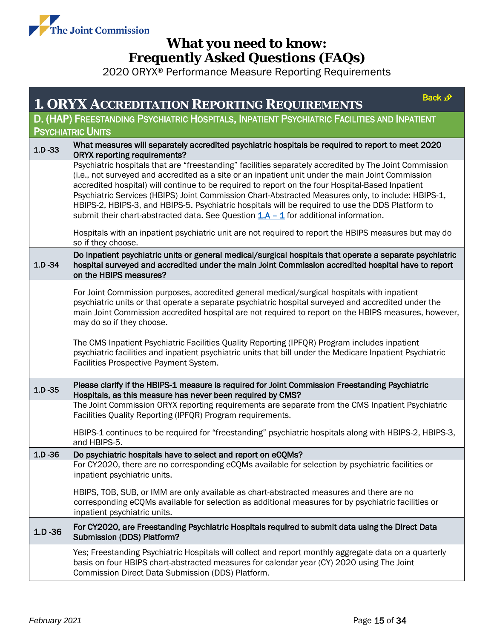

<span id="page-14-0"></span>

|            | <b>1. ORYX ACCREDITATION REPORTING REQUIREMENTS</b>                                                                                                                                                                                                                                                                                                                                                                                                                                                                                                                                                                 | Back £ |  |  |  |
|------------|---------------------------------------------------------------------------------------------------------------------------------------------------------------------------------------------------------------------------------------------------------------------------------------------------------------------------------------------------------------------------------------------------------------------------------------------------------------------------------------------------------------------------------------------------------------------------------------------------------------------|--------|--|--|--|
|            | D. (HAP) FREESTANDING PSYCHIATRIC HOSPITALS, INPATIENT PSYCHIATRIC FACILITIES AND INPATIENT                                                                                                                                                                                                                                                                                                                                                                                                                                                                                                                         |        |  |  |  |
|            | <b>PSYCHIATRIC UNITS</b>                                                                                                                                                                                                                                                                                                                                                                                                                                                                                                                                                                                            |        |  |  |  |
| $1.D - 33$ | What measures will separately accredited psychiatric hospitals be required to report to meet 2020<br><b>ORYX reporting requirements?</b>                                                                                                                                                                                                                                                                                                                                                                                                                                                                            |        |  |  |  |
|            | Psychiatric hospitals that are "freestanding" facilities separately accredited by The Joint Commission<br>(i.e., not surveyed and accredited as a site or an inpatient unit under the main Joint Commission<br>accredited hospital) will continue to be required to report on the four Hospital-Based Inpatient<br>Psychiatric Services (HBIPS) Joint Commission Chart-Abstracted Measures only, to include: HBIPS-1,<br>HBIPS-2, HBIPS-3, and HBIPS-5. Psychiatric hospitals will be required to use the DDS Platform to<br>submit their chart-abstracted data. See Question $1.A - 1$ for additional information. |        |  |  |  |
|            | Hospitals with an inpatient psychiatric unit are not required to report the HBIPS measures but may do<br>so if they choose.                                                                                                                                                                                                                                                                                                                                                                                                                                                                                         |        |  |  |  |
| $1.D - 34$ | Do inpatient psychiatric units or general medical/surgical hospitals that operate a separate psychiatric<br>hospital surveyed and accredited under the main Joint Commission accredited hospital have to report<br>on the HBIPS measures?                                                                                                                                                                                                                                                                                                                                                                           |        |  |  |  |
|            | For Joint Commission purposes, accredited general medical/surgical hospitals with inpatient<br>psychiatric units or that operate a separate psychiatric hospital surveyed and accredited under the<br>main Joint Commission accredited hospital are not required to report on the HBIPS measures, however,<br>may do so if they choose.                                                                                                                                                                                                                                                                             |        |  |  |  |
|            | The CMS Inpatient Psychiatric Facilities Quality Reporting (IPFQR) Program includes inpatient<br>psychiatric facilities and inpatient psychiatric units that bill under the Medicare Inpatient Psychiatric<br>Facilities Prospective Payment System.                                                                                                                                                                                                                                                                                                                                                                |        |  |  |  |
| $1.D -35$  | Please clarify if the HBIPS-1 measure is required for Joint Commission Freestanding Psychiatric<br>Hospitals, as this measure has never been required by CMS?                                                                                                                                                                                                                                                                                                                                                                                                                                                       |        |  |  |  |
|            | The Joint Commission ORYX reporting requirements are separate from the CMS Inpatient Psychiatric<br>Facilities Quality Reporting (IPFQR) Program requirements.                                                                                                                                                                                                                                                                                                                                                                                                                                                      |        |  |  |  |
|            | HBIPS-1 continues to be required for "freestanding" psychiatric hospitals along with HBIPS-2, HBIPS-3,<br>and HBIPS-5.                                                                                                                                                                                                                                                                                                                                                                                                                                                                                              |        |  |  |  |
| $1.D - 36$ | Do psychiatric hospitals have to select and report on eCQMs?                                                                                                                                                                                                                                                                                                                                                                                                                                                                                                                                                        |        |  |  |  |
|            | For CY2020, there are no corresponding eCQMs available for selection by psychiatric facilities or<br>inpatient psychiatric units.                                                                                                                                                                                                                                                                                                                                                                                                                                                                                   |        |  |  |  |
|            | HBIPS, TOB, SUB, or IMM are only available as chart-abstracted measures and there are no<br>corresponding eCQMs available for selection as additional measures for by psychiatric facilities or<br>inpatient psychiatric units.                                                                                                                                                                                                                                                                                                                                                                                     |        |  |  |  |
| $1.D -36$  | For CY2020, are Freestanding Psychiatric Hospitals required to submit data using the Direct Data<br>Submission (DDS) Platform?                                                                                                                                                                                                                                                                                                                                                                                                                                                                                      |        |  |  |  |
|            | Yes; Freestanding Psychiatric Hospitals will collect and report monthly aggregate data on a quarterly<br>basis on four HBIPS chart-abstracted measures for calendar year (CY) 2020 using The Joint<br>Commission Direct Data Submission (DDS) Platform.                                                                                                                                                                                                                                                                                                                                                             |        |  |  |  |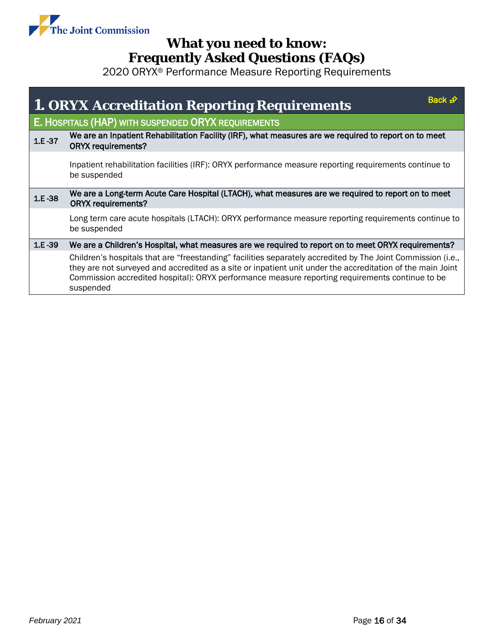

<span id="page-15-0"></span>

|        | Back <i>-</i> ⊉<br><b>1. ORYX Accreditation Reporting Requirements</b>                                                                                                                                                                                                                                                                     |
|--------|--------------------------------------------------------------------------------------------------------------------------------------------------------------------------------------------------------------------------------------------------------------------------------------------------------------------------------------------|
|        | E. HOSPITALS (HAP) WITH SUSPENDED ORYX REQUIREMENTS                                                                                                                                                                                                                                                                                        |
| 1.E-37 | We are an Inpatient Rehabilitation Facility (IRF), what measures are we required to report on to meet<br><b>ORYX requirements?</b>                                                                                                                                                                                                         |
|        | Inpatient rehabilitation facilities (IRF): ORYX performance measure reporting requirements continue to<br>be suspended                                                                                                                                                                                                                     |
| 1.E-38 | We are a Long-term Acute Care Hospital (LTACH), what measures are we required to report on to meet<br><b>ORYX requirements?</b>                                                                                                                                                                                                            |
|        | Long term care acute hospitals (LTACH): ORYX performance measure reporting requirements continue to<br>be suspended                                                                                                                                                                                                                        |
| 1.E-39 | We are a Children's Hospital, what measures are we required to report on to meet ORYX requirements?                                                                                                                                                                                                                                        |
|        | Children's hospitals that are "freestanding" facilities separately accredited by The Joint Commission (i.e.,<br>they are not surveyed and accredited as a site or inpatient unit under the accreditation of the main Joint<br>Commission accredited hospital): ORYX performance measure reporting requirements continue to be<br>suspended |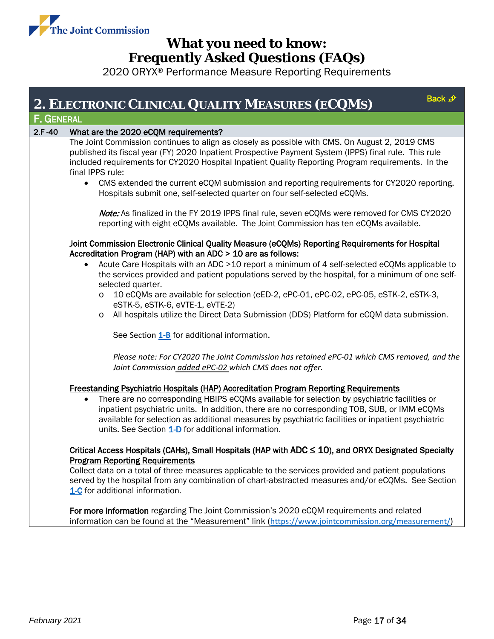

<span id="page-16-1"></span><span id="page-16-0"></span>

| 2. ELECTRONIC CLINICAL QUALITY MEASURES (ECQMS)                                                                                                                                                                                                                                                                                                                                                                                                                                                                         | Back £ |
|-------------------------------------------------------------------------------------------------------------------------------------------------------------------------------------------------------------------------------------------------------------------------------------------------------------------------------------------------------------------------------------------------------------------------------------------------------------------------------------------------------------------------|--------|
| <b>F. GENERAL</b>                                                                                                                                                                                                                                                                                                                                                                                                                                                                                                       |        |
| $2.F - 40$<br>What are the 2020 eCQM requirements?                                                                                                                                                                                                                                                                                                                                                                                                                                                                      |        |
| The Joint Commission continues to align as closely as possible with CMS. On August 2, 2019 CMS<br>published its fiscal year (FY) 2020 Inpatient Prospective Payment System (IPPS) final rule. This rule<br>included requirements for CY2020 Hospital Inpatient Quality Reporting Program requirements. In the<br>final IPPS rule:<br>CMS extended the current eCQM submission and reporting requirements for CY2020 reporting.<br>$\bullet$<br>Hospitals submit one, self-selected quarter on four self-selected eCQMs. |        |
| Note: As finalized in the FY 2019 IPPS final rule, seven eCQMs were removed for CMS CY2020<br>reporting with eight eCQMs available. The Joint Commission has ten eCQMs available.                                                                                                                                                                                                                                                                                                                                       |        |
| Joint Commission Electronic Clinical Quality Measure (eCQMs) Reporting Requirements for Hospital<br>Accreditation Program (HAP) with an ADC > 10 are as follows:                                                                                                                                                                                                                                                                                                                                                        |        |
| Acute Care Hospitals with an ADC >10 report a minimum of 4 self-selected eCQMs applicable to<br>$\bullet$<br>the services provided and patient populations served by the hospital, for a minimum of one self-<br>selected quarter.                                                                                                                                                                                                                                                                                      |        |
| 10 eCQMs are available for selection (eED-2, ePC-01, ePC-02, ePC-05, eSTK-2, eSTK-3,<br>O<br>eSTK-5, eSTK-6, eVTE-1, eVTE-2)                                                                                                                                                                                                                                                                                                                                                                                            |        |
| All hospitals utilize the Direct Data Submission (DDS) Platform for eCQM data submission.<br>O                                                                                                                                                                                                                                                                                                                                                                                                                          |        |
| See Section 1-B for additional information.                                                                                                                                                                                                                                                                                                                                                                                                                                                                             |        |
| Please note: For CY2020 The Joint Commission has retained ePC-01 which CMS removed, and the<br>Joint Commission added ePC-02 which CMS does not offer.                                                                                                                                                                                                                                                                                                                                                                  |        |
| <b>Freestanding Psychiatric Hospitals (HAP) Accreditation Program Reporting Requirements</b><br>There are no corresponding HBIPS eCQMs available for selection by psychiatric facilities or<br>$\bullet$<br>inpatient psychiatric units. In addition, there are no corresponding TOB, SUB, or IMM eCQMs<br>available for selection as additional measures by psychiatric facilities or inpatient psychiatric<br>units. See Section 1-D for additional information.                                                      |        |
| Critical Access Hospitals (CAHs), Small Hospitals (HAP with $ADC \le 10$ ), and ORYX Designated Specialty<br><b>Program Reporting Requirements</b><br>Collect data on a total of three measures applicable to the services provided and patient populations<br>served by the hospital from any combination of chart-abstracted measures and/or eCQMs. See Section<br>1-C for additional information.                                                                                                                    |        |
| For more information regarding The Joint Commission's 2020 eCQM requirements and related<br>information can be found at the "Measurement" link (https://www.jointcommission.org/measurement/)                                                                                                                                                                                                                                                                                                                           |        |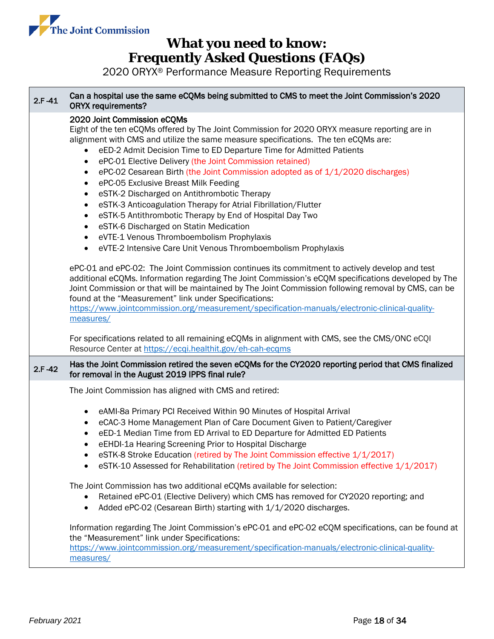

| $2.F - 41$ | Can a hospital use the same eCQMs being submitted to CMS to meet the Joint Commission's 2020<br><b>ORYX requirements?</b>                                                                                                                                                                                                                                                                                                                                                                                                                                                                                                                                                                                                                                                                                                                                                                                                                                                                                                                                                                                                                                                                                                                                                                                                                                                                                  |  |  |  |  |
|------------|------------------------------------------------------------------------------------------------------------------------------------------------------------------------------------------------------------------------------------------------------------------------------------------------------------------------------------------------------------------------------------------------------------------------------------------------------------------------------------------------------------------------------------------------------------------------------------------------------------------------------------------------------------------------------------------------------------------------------------------------------------------------------------------------------------------------------------------------------------------------------------------------------------------------------------------------------------------------------------------------------------------------------------------------------------------------------------------------------------------------------------------------------------------------------------------------------------------------------------------------------------------------------------------------------------------------------------------------------------------------------------------------------------|--|--|--|--|
|            | 2020 Joint Commission eCQMs<br>Eight of the ten eCQMs offered by The Joint Commission for 2020 ORYX measure reporting are in<br>alignment with CMS and utilize the same measure specifications. The ten eCQMs are:<br>eED-2 Admit Decision Time to ED Departure Time for Admitted Patients<br>ePC-01 Elective Delivery (the Joint Commission retained)<br>$\bullet$<br>ePC-02 Cesarean Birth (the Joint Commission adopted as of 1/1/2020 discharges)<br>٠<br>ePC-05 Exclusive Breast Milk Feeding<br>٠<br>eSTK-2 Discharged on Antithrombotic Therapy<br>$\bullet$<br>eSTK-3 Anticoagulation Therapy for Atrial Fibrillation/Flutter<br>$\bullet$<br>eSTK-5 Antithrombotic Therapy by End of Hospital Day Two<br>$\bullet$<br>eSTK-6 Discharged on Statin Medication<br>٠<br>eVTE-1 Venous Thromboembolism Prophylaxis<br>$\bullet$<br>eVTE-2 Intensive Care Unit Venous Thromboembolism Prophylaxis<br>$\bullet$<br>ePC-01 and ePC-02: The Joint Commission continues its commitment to actively develop and test<br>additional eCQMs. Information regarding The Joint Commission's eCQM specifications developed by The<br>Joint Commission or that will be maintained by The Joint Commission following removal by CMS, can be<br>found at the "Measurement" link under Specifications:<br>https://www.jointcommission.org/measurement/specification-manuals/electronic-clinical-quality-<br>measures/ |  |  |  |  |
|            | For specifications related to all remaining eCQMs in alignment with CMS, see the CMS/ONC eCQI<br>Resource Center at https://ecgi.healthit.gov/eh-cah-ecgms                                                                                                                                                                                                                                                                                                                                                                                                                                                                                                                                                                                                                                                                                                                                                                                                                                                                                                                                                                                                                                                                                                                                                                                                                                                 |  |  |  |  |
| $2.F - 42$ | Has the Joint Commission retired the seven eCQMs for the CY2020 reporting period that CMS finalized<br>for removal in the August 2019 IPPS final rule?                                                                                                                                                                                                                                                                                                                                                                                                                                                                                                                                                                                                                                                                                                                                                                                                                                                                                                                                                                                                                                                                                                                                                                                                                                                     |  |  |  |  |
|            | The Joint Commission has aligned with CMS and retired:                                                                                                                                                                                                                                                                                                                                                                                                                                                                                                                                                                                                                                                                                                                                                                                                                                                                                                                                                                                                                                                                                                                                                                                                                                                                                                                                                     |  |  |  |  |
|            | eAMI-8a Primary PCI Received Within 90 Minutes of Hospital Arrival<br>٠<br>eCAC-3 Home Management Plan of Care Document Given to Patient/Caregiver<br>٠<br>eED-1 Median Time from ED Arrival to ED Departure for Admitted ED Patients<br>eEHDI-1a Hearing Screening Prior to Hospital Discharge<br>eSTK-8 Stroke Education (retired by The Joint Commission effective 1/1/2017)<br>eSTK-10 Assessed for Rehabilitation (retired by The Joint Commission effective 1/1/2017)                                                                                                                                                                                                                                                                                                                                                                                                                                                                                                                                                                                                                                                                                                                                                                                                                                                                                                                                |  |  |  |  |
|            | The Joint Commission has two additional eCQMs available for selection:<br>Retained ePC-01 (Elective Delivery) which CMS has removed for CY2020 reporting; and<br>Added ePC-02 (Cesarean Birth) starting with 1/1/2020 discharges.<br>٠                                                                                                                                                                                                                                                                                                                                                                                                                                                                                                                                                                                                                                                                                                                                                                                                                                                                                                                                                                                                                                                                                                                                                                     |  |  |  |  |
|            | Information regarding The Joint Commission's ePC-01 and ePC-02 eCQM specifications, can be found at<br>the "Measurement" link under Specifications:<br>https://www.jointcommission.org/measurement/specification-manuals/electronic-clinical-quality-<br>measures/                                                                                                                                                                                                                                                                                                                                                                                                                                                                                                                                                                                                                                                                                                                                                                                                                                                                                                                                                                                                                                                                                                                                         |  |  |  |  |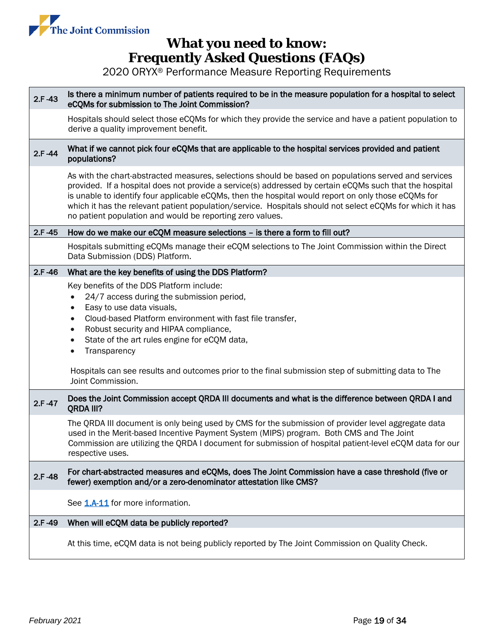

| $2.F - 43$ | Is there a minimum number of patients required to be in the measure population for a hospital to select<br>eCQMs for submission to The Joint Commission?                                                                                                                                                                                                                                                                                                                                            |  |  |  |  |
|------------|-----------------------------------------------------------------------------------------------------------------------------------------------------------------------------------------------------------------------------------------------------------------------------------------------------------------------------------------------------------------------------------------------------------------------------------------------------------------------------------------------------|--|--|--|--|
|            | Hospitals should select those eCQMs for which they provide the service and have a patient population to<br>derive a quality improvement benefit.                                                                                                                                                                                                                                                                                                                                                    |  |  |  |  |
| $2.F - 44$ | What if we cannot pick four eCQMs that are applicable to the hospital services provided and patient<br>populations?                                                                                                                                                                                                                                                                                                                                                                                 |  |  |  |  |
|            | As with the chart-abstracted measures, selections should be based on populations served and services<br>provided. If a hospital does not provide a service(s) addressed by certain eCQMs such that the hospital<br>is unable to identify four applicable eCQMs, then the hospital would report on only those eCQMs for<br>which it has the relevant patient population/service. Hospitals should not select eCQMs for which it has<br>no patient population and would be reporting zero values.     |  |  |  |  |
| $2.F - 45$ | How do we make our eCQM measure selections – is there a form to fill out?                                                                                                                                                                                                                                                                                                                                                                                                                           |  |  |  |  |
|            | Hospitals submitting eCQMs manage their eCQM selections to The Joint Commission within the Direct<br>Data Submission (DDS) Platform.                                                                                                                                                                                                                                                                                                                                                                |  |  |  |  |
| $2.F - 46$ | What are the key benefits of using the DDS Platform?                                                                                                                                                                                                                                                                                                                                                                                                                                                |  |  |  |  |
|            | Key benefits of the DDS Platform include:<br>24/7 access during the submission period,<br>$\bullet$<br>Easy to use data visuals,<br>$\bullet$<br>Cloud-based Platform environment with fast file transfer,<br>$\bullet$<br>Robust security and HIPAA compliance,<br>$\bullet$<br>State of the art rules engine for eCQM data,<br>$\bullet$<br>Transparency<br>$\bullet$<br>Hospitals can see results and outcomes prior to the final submission step of submitting data to The<br>Joint Commission. |  |  |  |  |
| 2.F-47     | Does the Joint Commission accept QRDA III documents and what is the difference between QRDA I and<br>QRDA III?                                                                                                                                                                                                                                                                                                                                                                                      |  |  |  |  |
|            | The QRDA III document is only being used by CMS for the submission of provider level aggregate data<br>used in the Merit-based Incentive Payment System (MIPS) program. Both CMS and The Joint<br>Commission are utilizing the QRDA I document for submission of hospital patient-level eCQM data for our<br>respective uses.                                                                                                                                                                       |  |  |  |  |
| 2 F-48     | For chart-abstracted measures and eCQMs, does The Joint Commission have a case threshold (five or<br>fewer) exemption and/or a zero-denominator attestation like CMS?                                                                                                                                                                                                                                                                                                                               |  |  |  |  |
|            | See 1.A-11 for more information.                                                                                                                                                                                                                                                                                                                                                                                                                                                                    |  |  |  |  |
| $2.F-49$   | When will eCQM data be publicly reported?                                                                                                                                                                                                                                                                                                                                                                                                                                                           |  |  |  |  |
|            | At this time, eCQM data is not being publicly reported by The Joint Commission on Quality Check.                                                                                                                                                                                                                                                                                                                                                                                                    |  |  |  |  |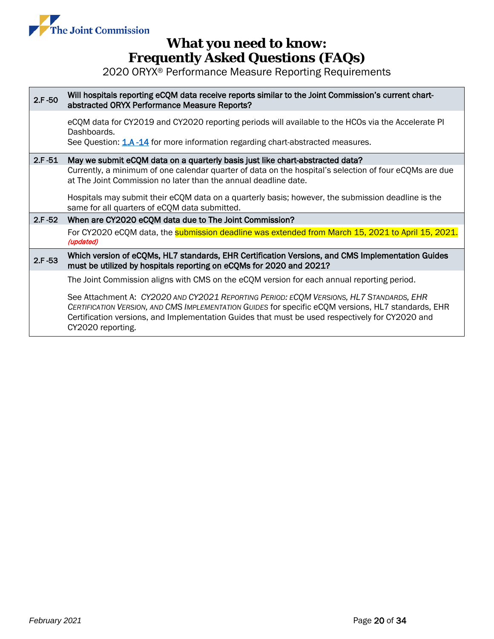

| $2.F - 50$ | Will hospitals reporting eCQM data receive reports similar to the Joint Commission's current chart-<br>abstracted ORYX Performance Measure Reports?                                                                                                                                                                    |  |  |  |  |
|------------|------------------------------------------------------------------------------------------------------------------------------------------------------------------------------------------------------------------------------------------------------------------------------------------------------------------------|--|--|--|--|
|            | eCQM data for CY2019 and CY2020 reporting periods will available to the HCOs via the Accelerate PI<br>Dashboards.<br>See Question: 1.A -14 for more information regarding chart-abstracted measures.                                                                                                                   |  |  |  |  |
| $2.F - 51$ | May we submit eCQM data on a quarterly basis just like chart-abstracted data?                                                                                                                                                                                                                                          |  |  |  |  |
|            | Currently, a minimum of one calendar quarter of data on the hospital's selection of four eCQMs are due<br>at The Joint Commission no later than the annual deadline date.                                                                                                                                              |  |  |  |  |
|            | Hospitals may submit their eCQM data on a quarterly basis; however, the submission deadline is the<br>same for all quarters of eCQM data submitted.                                                                                                                                                                    |  |  |  |  |
| $2.F - 52$ | When are CY2020 eCQM data due to The Joint Commission?                                                                                                                                                                                                                                                                 |  |  |  |  |
|            | For CY2020 eCQM data, the <b>submission deadline was extended from March 15, 2021 to April 15, 2021.</b><br>(updated)                                                                                                                                                                                                  |  |  |  |  |
| $2.F - 53$ | Which version of eCQMs, HL7 standards, EHR Certification Versions, and CMS Implementation Guides<br>must be utilized by hospitals reporting on eCQMs for 2020 and 2021?                                                                                                                                                |  |  |  |  |
|            | The Joint Commission aligns with CMS on the eCQM version for each annual reporting period.                                                                                                                                                                                                                             |  |  |  |  |
|            | See Attachment A: CY2020 AND CY2021 REPORTING PERIOD: ECOM VERSIONS, HL7 STANDARDS, EHR<br>CERTIFICATION VERSION, AND CMS IMPLEMENTATION GUIDES for specific eCQM versions, HL7 standards, EHR<br>Certification versions, and Implementation Guides that must be used respectively for CY2020 and<br>CY2020 reporting. |  |  |  |  |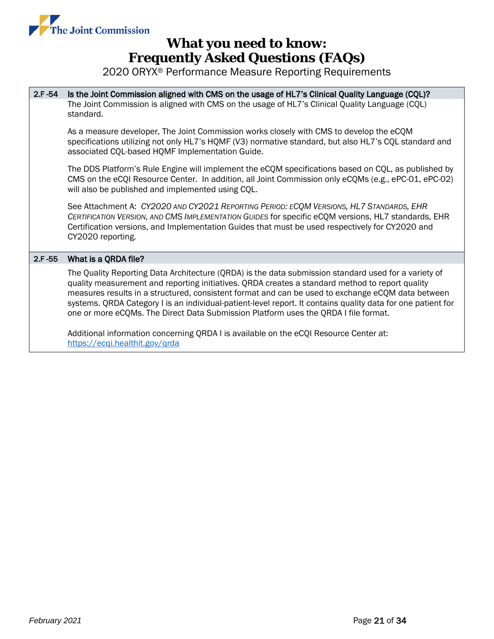

2020 ORYX® Performance Measure Reporting Requirements

2.F -54 Is the Joint Commission aligned with CMS on the usage of HL7's Clinical Quality Language (CQL)? The Joint Commission is aligned with CMS on the usage of HL7's Clinical Quality Language (CQL) standard.

As a measure developer, The Joint Commission works closely with CMS to develop the eCQM specifications utilizing not only HL7's HQMF (V3) normative standard, but also HL7's CQL standard and associated CQL-based HQMF Implementation Guide.

The DDS Platform's Rule Engine will implement the eCQM specifications based on CQL, as published by CMS on the eCQI Resource Center. In addition, all Joint Commission only eCQMs (e.g., ePC-01, ePC-02) will also be published and implemented using CQL.

See Attachment A: *CY2020 AND CY2021 REPORTING PERIOD: ECQM VERSIONS, HL7 STANDARDS, EHR CERTIFICATION VERSION, AND CMS IMPLEMENTATION GUIDES* for specific eCQM versions, HL7 standards, EHR Certification versions, and Implementation Guides that must be used respectively for CY2020 and CY2020 reporting.

#### 2.F -55 What is a QRDA file?

The Quality Reporting Data Architecture (QRDA) is the data submission standard used for a variety of quality measurement and reporting initiatives. QRDA creates a standard method to report quality measures results in a structured, consistent format and can be used to exchange eCQM data between systems. QRDA Category I is an individual-patient-level report. It contains quality data for one patient for one or more eCQMs. The Direct Data Submission Platform uses the QRDA I file format.

Additional information concerning QRDA I is available on the eCQI Resource Center at: <https://ecqi.healthit.gov/qrda>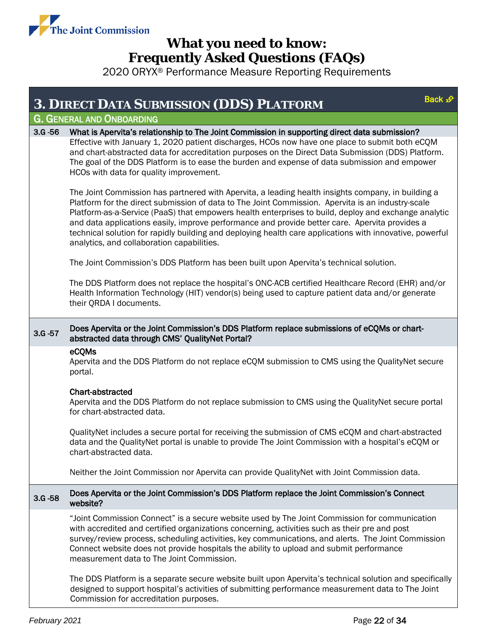

<span id="page-21-1"></span><span id="page-21-0"></span>

|             | Back £<br><b>3. DIRECT DATA SUBMISSION (DDS) PLATFORM</b>                                                                                                                                                                                                                                                                                                                                                                                                                                                                                                                   |  |  |  |  |
|-------------|-----------------------------------------------------------------------------------------------------------------------------------------------------------------------------------------------------------------------------------------------------------------------------------------------------------------------------------------------------------------------------------------------------------------------------------------------------------------------------------------------------------------------------------------------------------------------------|--|--|--|--|
|             | <b>G. GENERAL AND ONBOARDING</b>                                                                                                                                                                                                                                                                                                                                                                                                                                                                                                                                            |  |  |  |  |
| $3.G - 56$  | What is Apervita's relationship to The Joint Commission in supporting direct data submission?                                                                                                                                                                                                                                                                                                                                                                                                                                                                               |  |  |  |  |
|             | Effective with January 1, 2020 patient discharges, HCOs now have one place to submit both eCQM<br>and chart-abstracted data for accreditation purposes on the Direct Data Submission (DDS) Platform.<br>The goal of the DDS Platform is to ease the burden and expense of data submission and empower<br>HCOs with data for quality improvement.                                                                                                                                                                                                                            |  |  |  |  |
|             | The Joint Commission has partnered with Apervita, a leading health insights company, in building a<br>Platform for the direct submission of data to The Joint Commission. Apervita is an industry-scale<br>Platform-as-a-Service (PaaS) that empowers health enterprises to build, deploy and exchange analytic<br>and data applications easily, improve performance and provide better care. Apervita provides a<br>technical solution for rapidly building and deploying health care applications with innovative, powerful<br>analytics, and collaboration capabilities. |  |  |  |  |
|             | The Joint Commission's DDS Platform has been built upon Apervita's technical solution.                                                                                                                                                                                                                                                                                                                                                                                                                                                                                      |  |  |  |  |
|             | The DDS Platform does not replace the hospital's ONC-ACB certified Healthcare Record (EHR) and/or<br>Health Information Technology (HIT) vendor(s) being used to capture patient data and/or generate<br>their QRDA I documents.                                                                                                                                                                                                                                                                                                                                            |  |  |  |  |
| $3.G - 57$  | Does Apervita or the Joint Commission's DDS Platform replace submissions of eCQMs or chart-<br>abstracted data through CMS' QualityNet Portal?                                                                                                                                                                                                                                                                                                                                                                                                                              |  |  |  |  |
|             | eCQMs<br>Apervita and the DDS Platform do not replace eCQM submission to CMS using the QualityNet secure<br>portal.                                                                                                                                                                                                                                                                                                                                                                                                                                                         |  |  |  |  |
|             | <b>Chart-abstracted</b><br>Apervita and the DDS Platform do not replace submission to CMS using the QualityNet secure portal<br>for chart-abstracted data.                                                                                                                                                                                                                                                                                                                                                                                                                  |  |  |  |  |
|             | QualityNet includes a secure portal for receiving the submission of CMS eCQM and chart-abstracted<br>data and the QualityNet portal is unable to provide The Joint Commission with a hospital's eCQM or<br>chart-abstracted data.                                                                                                                                                                                                                                                                                                                                           |  |  |  |  |
|             | Neither the Joint Commission nor Apervita can provide QualityNet with Joint Commission data.                                                                                                                                                                                                                                                                                                                                                                                                                                                                                |  |  |  |  |
| $3. G - 58$ | Does Apervita or the Joint Commission's DDS Platform replace the Joint Commission's Connect<br>website?                                                                                                                                                                                                                                                                                                                                                                                                                                                                     |  |  |  |  |
|             | "Joint Commission Connect" is a secure website used by The Joint Commission for communication<br>with accredited and certified organizations concerning, activities such as their pre and post<br>survey/review process, scheduling activities, key communications, and alerts. The Joint Commission<br>Connect website does not provide hospitals the ability to upload and submit performance<br>measurement data to The Joint Commission.                                                                                                                                |  |  |  |  |
|             | The DDS Platform is a separate secure website built upon Apervita's technical solution and specifically<br>designed to support hospital's activities of submitting performance measurement data to The Joint<br>Commission for accreditation purposes.                                                                                                                                                                                                                                                                                                                      |  |  |  |  |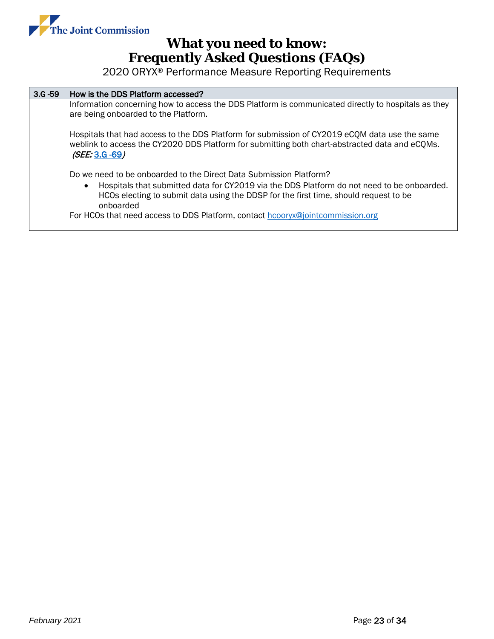

2020 ORYX® Performance Measure Reporting Requirements

#### 3.G -59 How is the DDS Platform accessed?

Information concerning how to access the DDS Platform is communicated directly to hospitals as they are being onboarded to the Platform.

Hospitals that had access to the DDS Platform for submission of CY2019 eCQM data use the same weblink to access the CY2020 DDS Platform for submitting both chart-abstracted data and eCQMs. (SEE: [3.G -69](#page-25-0))

Do we need to be onboarded to the Direct Data Submission Platform?

• Hospitals that submitted data for CY2019 via the DDS Platform do not need to be onboarded. HCOs electing to submit data using the DDSP for the first time, should request to be onboarded

For HCOs that need access to DDS Platform, contact [hcooryx@jointcommission.org](mailto:hcooryx@jointcommission.org)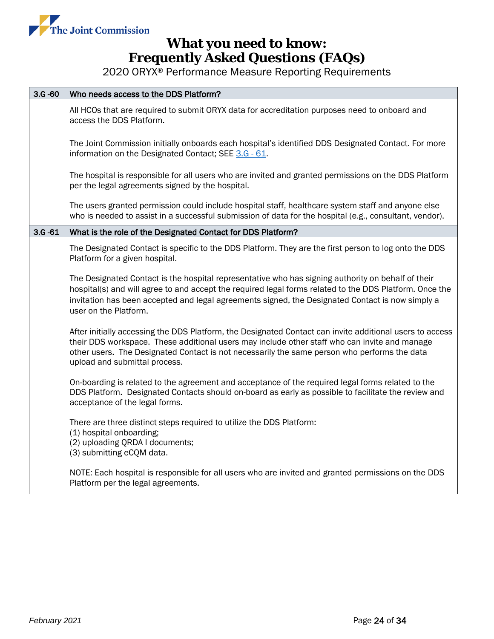

2020 ORYX® Performance Measure Reporting Requirements

#### 3.G -60 Who needs access to the DDS Platform?

All HCOs that are required to submit ORYX data for accreditation purposes need to onboard and access the DDS Platform.

The Joint Commission initially onboards each hospital's identified DDS Designated Contact. For more information on the Designated Contact; SEE [3.G -](#page-23-0) 61.

The hospital is responsible for all users who are invited and granted permissions on the DDS Platform per the legal agreements signed by the hospital.

The users granted permission could include hospital staff, healthcare system staff and anyone else who is needed to assist in a successful submission of data for the hospital (e.g., consultant, vendor).

#### <span id="page-23-0"></span>3.G -61 What is the role of the Designated Contact for DDS Platform?

The Designated Contact is specific to the DDS Platform. They are the first person to log onto the DDS Platform for a given hospital.

The Designated Contact is the hospital representative who has signing authority on behalf of their hospital(s) and will agree to and accept the required legal forms related to the DDS Platform. Once the invitation has been accepted and legal agreements signed, the Designated Contact is now simply a user on the Platform.

After initially accessing the DDS Platform, the Designated Contact can invite additional users to access their DDS workspace. These additional users may include other staff who can invite and manage other users. The Designated Contact is not necessarily the same person who performs the data upload and submittal process.

On-boarding is related to the agreement and acceptance of the required legal forms related to the DDS Platform. Designated Contacts should on-board as early as possible to facilitate the review and acceptance of the legal forms.

There are three distinct steps required to utilize the DDS Platform:

- (1) hospital onboarding;
- (2) uploading QRDA I documents;
- (3) submitting eCQM data.

NOTE: Each hospital is responsible for all users who are invited and granted permissions on the DDS Platform per the legal agreements.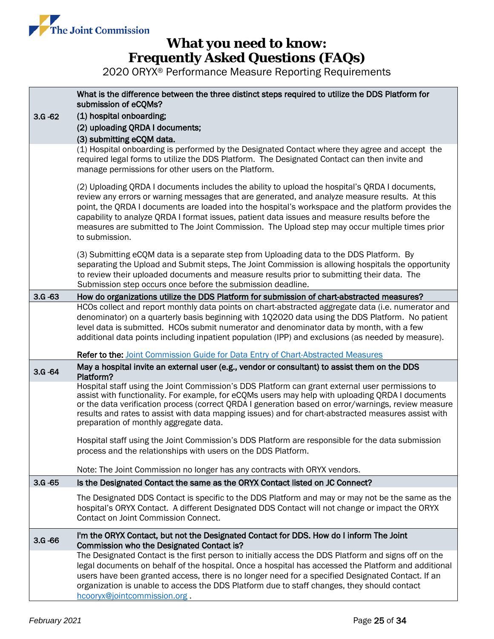

<span id="page-24-0"></span>

| $3.G - 62$ | What is the difference between the three distinct steps required to utilize the DDS Platform for<br>submission of eCQMs?<br>(1) hospital onboarding;<br>(2) uploading QRDA I documents;<br>(3) submitting eCQM data.                                                                                                                                                                                                                                                                                                         |  |  |  |  |  |
|------------|------------------------------------------------------------------------------------------------------------------------------------------------------------------------------------------------------------------------------------------------------------------------------------------------------------------------------------------------------------------------------------------------------------------------------------------------------------------------------------------------------------------------------|--|--|--|--|--|
|            | (1) Hospital onboarding is performed by the Designated Contact where they agree and accept the<br>required legal forms to utilize the DDS Platform. The Designated Contact can then invite and<br>manage permissions for other users on the Platform.                                                                                                                                                                                                                                                                        |  |  |  |  |  |
|            | (2) Uploading QRDA I documents includes the ability to upload the hospital's QRDA I documents,<br>review any errors or warning messages that are generated, and analyze measure results. At this<br>point, the QRDA I documents are loaded into the hospital's workspace and the platform provides the<br>capability to analyze QRDA I format issues, patient data issues and measure results before the<br>measures are submitted to The Joint Commission. The Upload step may occur multiple times prior<br>to submission. |  |  |  |  |  |
|            | (3) Submitting eCQM data is a separate step from Uploading data to the DDS Platform. By<br>separating the Upload and Submit steps, The Joint Commission is allowing hospitals the opportunity<br>to review their uploaded documents and measure results prior to submitting their data. The<br>Submission step occurs once before the submission deadline.                                                                                                                                                                   |  |  |  |  |  |
| $3.G - 63$ | How do organizations utilize the DDS Platform for submission of chart-abstracted measures?                                                                                                                                                                                                                                                                                                                                                                                                                                   |  |  |  |  |  |
|            | HCOs collect and report monthly data points on chart-abstracted aggregate data (i.e. numerator and<br>denominator) on a quarterly basis beginning with 1Q2020 data using the DDS Platform. No patient<br>level data is submitted. HCOs submit numerator and denominator data by month, with a few<br>additional data points including inpatient population (IPP) and exclusions (as needed by measure).                                                                                                                      |  |  |  |  |  |
|            | Refer to the: Joint Commission Guide for Data Entry of Chart-Abstracted Measures                                                                                                                                                                                                                                                                                                                                                                                                                                             |  |  |  |  |  |
| $3.G - 64$ | May a hospital invite an external user (e.g., vendor or consultant) to assist them on the DDS<br>Platform?                                                                                                                                                                                                                                                                                                                                                                                                                   |  |  |  |  |  |
|            | Hospital staff using the Joint Commission's DDS Platform can grant external user permissions to<br>assist with functionality. For example, for eCQMs users may help with uploading QRDA I documents<br>or the data verification process (correct QRDA I generation based on error/warnings, review measure<br>results and rates to assist with data mapping issues) and for chart-abstracted measures assist with<br>preparation of monthly aggregate data.                                                                  |  |  |  |  |  |
|            | Hospital staff using the Joint Commission's DDS Platform are responsible for the data submission<br>process and the relationships with users on the DDS Platform.                                                                                                                                                                                                                                                                                                                                                            |  |  |  |  |  |
|            | Note: The Joint Commission no longer has any contracts with ORYX vendors.                                                                                                                                                                                                                                                                                                                                                                                                                                                    |  |  |  |  |  |
| $3.G - 65$ | Is the Designated Contact the same as the ORYX Contact listed on JC Connect?                                                                                                                                                                                                                                                                                                                                                                                                                                                 |  |  |  |  |  |
|            | The Designated DDS Contact is specific to the DDS Platform and may or may not be the same as the<br>hospital's ORYX Contact. A different Designated DDS Contact will not change or impact the ORYX<br>Contact on Joint Commission Connect.                                                                                                                                                                                                                                                                                   |  |  |  |  |  |
| $3.G - 66$ | I'm the ORYX Contact, but not the Designated Contact for DDS. How do I inform The Joint<br>Commission who the Designated Contact is?                                                                                                                                                                                                                                                                                                                                                                                         |  |  |  |  |  |
|            | The Designated Contact is the first person to initially access the DDS Platform and signs off on the<br>legal documents on behalf of the hospital. Once a hospital has accessed the Platform and additional<br>users have been granted access, there is no longer need for a specified Designated Contact. If an<br>organization is unable to access the DDS Platform due to staff changes, they should contact<br>hcooryx@jointcommission.org.                                                                              |  |  |  |  |  |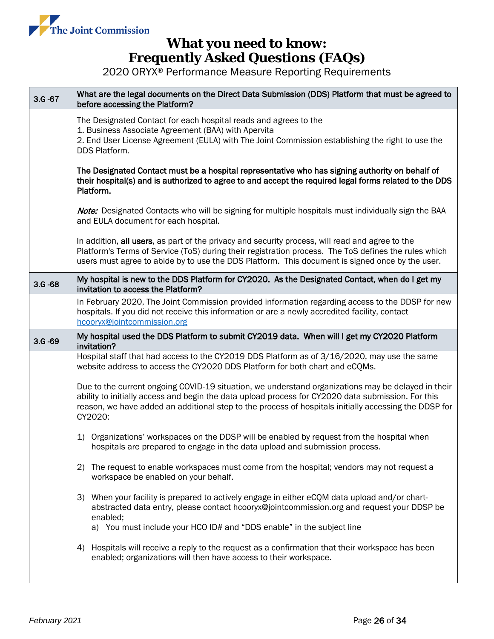

<span id="page-25-1"></span><span id="page-25-0"></span>

| $3.G - 67$ | What are the legal documents on the Direct Data Submission (DDS) Platform that must be agreed to<br>before accessing the Platform?                                                                                                                                                                                           |  |  |  |  |
|------------|------------------------------------------------------------------------------------------------------------------------------------------------------------------------------------------------------------------------------------------------------------------------------------------------------------------------------|--|--|--|--|
|            | The Designated Contact for each hospital reads and agrees to the<br>1. Business Associate Agreement (BAA) with Apervita<br>2. End User License Agreement (EULA) with The Joint Commission establishing the right to use the<br>DDS Platform.                                                                                 |  |  |  |  |
|            | The Designated Contact must be a hospital representative who has signing authority on behalf of<br>their hospital(s) and is authorized to agree to and accept the required legal forms related to the DDS<br>Platform.                                                                                                       |  |  |  |  |
|            | Note: Designated Contacts who will be signing for multiple hospitals must individually sign the BAA<br>and EULA document for each hospital.                                                                                                                                                                                  |  |  |  |  |
|            | In addition, all users, as part of the privacy and security process, will read and agree to the<br>Platform's Terms of Service (ToS) during their registration process. The ToS defines the rules which<br>users must agree to abide by to use the DDS Platform. This document is signed once by the user.                   |  |  |  |  |
| $3.6 - 68$ | My hospital is new to the DDS Platform for CY2020. As the Designated Contact, when do I get my<br>invitation to access the Platform?                                                                                                                                                                                         |  |  |  |  |
|            | In February 2020, The Joint Commission provided information regarding access to the DDSP for new<br>hospitals. If you did not receive this information or are a newly accredited facility, contact<br>hcooryx@jointcommission.org                                                                                            |  |  |  |  |
| $3.G - 69$ | My hospital used the DDS Platform to submit CY2019 data. When will I get my CY2020 Platform<br>invitation?                                                                                                                                                                                                                   |  |  |  |  |
|            | Hospital staff that had access to the CY2019 DDS Platform as of 3/16/2020, may use the same<br>website address to access the CY2020 DDS Platform for both chart and eCQMs.                                                                                                                                                   |  |  |  |  |
|            | Due to the current ongoing COVID-19 situation, we understand organizations may be delayed in their<br>ability to initially access and begin the data upload process for CY2020 data submission. For this<br>reason, we have added an additional step to the process of hospitals initially accessing the DDSP for<br>CY2020: |  |  |  |  |
|            | 1) Organizations' workspaces on the DDSP will be enabled by request from the hospital when<br>hospitals are prepared to engage in the data upload and submission process.                                                                                                                                                    |  |  |  |  |
|            | The request to enable workspaces must come from the hospital; vendors may not request a<br>(2)<br>workspace be enabled on your behalf.                                                                                                                                                                                       |  |  |  |  |
|            | 3) When your facility is prepared to actively engage in either eCQM data upload and/or chart-<br>abstracted data entry, please contact hcooryx@jointcommission.org and request your DDSP be<br>enabled;<br>a) You must include your HCO ID# and "DDS enable" in the subject line                                             |  |  |  |  |
|            | Hospitals will receive a reply to the request as a confirmation that their workspace has been<br>4)<br>enabled; organizations will then have access to their workspace.                                                                                                                                                      |  |  |  |  |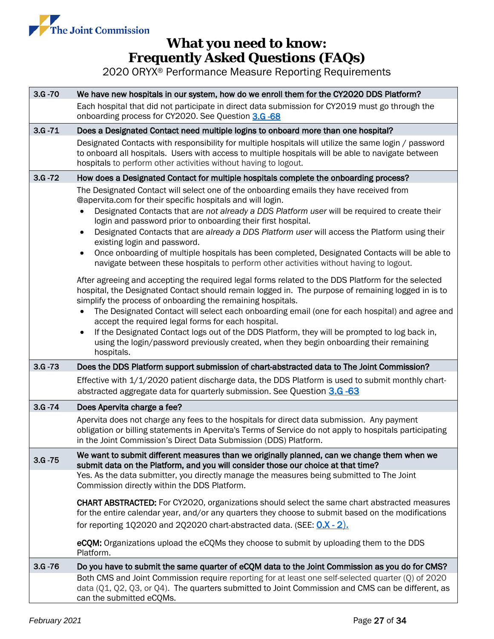

2020 ORYX® Performance Measure Reporting Requirements

| $3.G - 70$ | We have new hospitals in our system, how do we enroll them for the CY2020 DDS Platform?                                                                                                                                                                                                                                                                                                                                                                                                                                                                                                                                                                                                                                                                                                                                                                                                                                                                                                                                                                                                                                      |
|------------|------------------------------------------------------------------------------------------------------------------------------------------------------------------------------------------------------------------------------------------------------------------------------------------------------------------------------------------------------------------------------------------------------------------------------------------------------------------------------------------------------------------------------------------------------------------------------------------------------------------------------------------------------------------------------------------------------------------------------------------------------------------------------------------------------------------------------------------------------------------------------------------------------------------------------------------------------------------------------------------------------------------------------------------------------------------------------------------------------------------------------|
|            | Each hospital that did not participate in direct data submission for CY2019 must go through the<br>onboarding process for CY2020. See Question 3.G -68                                                                                                                                                                                                                                                                                                                                                                                                                                                                                                                                                                                                                                                                                                                                                                                                                                                                                                                                                                       |
| $3.G - 71$ | Does a Designated Contact need multiple logins to onboard more than one hospital?                                                                                                                                                                                                                                                                                                                                                                                                                                                                                                                                                                                                                                                                                                                                                                                                                                                                                                                                                                                                                                            |
|            | Designated Contacts with responsibility for multiple hospitals will utilize the same login / password<br>to onboard all hospitals. Users with access to multiple hospitals will be able to navigate between<br>hospitals to perform other activities without having to logout.                                                                                                                                                                                                                                                                                                                                                                                                                                                                                                                                                                                                                                                                                                                                                                                                                                               |
| $3.G - 72$ | How does a Designated Contact for multiple hospitals complete the onboarding process?                                                                                                                                                                                                                                                                                                                                                                                                                                                                                                                                                                                                                                                                                                                                                                                                                                                                                                                                                                                                                                        |
|            | The Designated Contact will select one of the onboarding emails they have received from<br>@apervita.com for their specific hospitals and will login.<br>Designated Contacts that are not already a DDS Platform user will be required to create their<br>login and password prior to onboarding their first hospital.<br>Designated Contacts that are already a DDS Platform user will access the Platform using their<br>$\bullet$<br>existing login and password.<br>Once onboarding of multiple hospitals has been completed, Designated Contacts will be able to<br>$\bullet$<br>navigate between these hospitals to perform other activities without having to logout.<br>After agreeing and accepting the required legal forms related to the DDS Platform for the selected<br>hospital, the Designated Contact should remain logged in. The purpose of remaining logged in is to<br>simplify the process of onboarding the remaining hospitals.<br>The Designated Contact will select each onboarding email (one for each hospital) and agree and<br>$\bullet$<br>accept the required legal forms for each hospital. |
|            | If the Designated Contact logs out of the DDS Platform, they will be prompted to log back in,<br>$\bullet$<br>using the login/password previously created, when they begin onboarding their remaining<br>hospitals.                                                                                                                                                                                                                                                                                                                                                                                                                                                                                                                                                                                                                                                                                                                                                                                                                                                                                                          |
| $3.G - 73$ | Does the DDS Platform support submission of chart-abstracted data to The Joint Commission?                                                                                                                                                                                                                                                                                                                                                                                                                                                                                                                                                                                                                                                                                                                                                                                                                                                                                                                                                                                                                                   |
|            | Effective with 1/1/2020 patient discharge data, the DDS Platform is used to submit monthly chart-<br>abstracted aggregate data for quarterly submission. See Question 3.G -63                                                                                                                                                                                                                                                                                                                                                                                                                                                                                                                                                                                                                                                                                                                                                                                                                                                                                                                                                |
| $3.G - 74$ | Does Apervita charge a fee?                                                                                                                                                                                                                                                                                                                                                                                                                                                                                                                                                                                                                                                                                                                                                                                                                                                                                                                                                                                                                                                                                                  |
|            | Apervita does not charge any fees to the hospitals for direct data submission. Any payment<br>obligation or billing statements in Apervita's Terms of Service do not apply to hospitals participating<br>in the Joint Commission's Direct Data Submission (DDS) Platform.                                                                                                                                                                                                                                                                                                                                                                                                                                                                                                                                                                                                                                                                                                                                                                                                                                                    |
| $3.G - 75$ | We want to submit different measures than we originally planned, can we change them when we<br>submit data on the Platform, and you will consider those our choice at that time?                                                                                                                                                                                                                                                                                                                                                                                                                                                                                                                                                                                                                                                                                                                                                                                                                                                                                                                                             |
|            | Yes. As the data submitter, you directly manage the measures being submitted to The Joint<br>Commission directly within the DDS Platform.                                                                                                                                                                                                                                                                                                                                                                                                                                                                                                                                                                                                                                                                                                                                                                                                                                                                                                                                                                                    |
|            | <b>CHART ABSTRACTED:</b> For CY2020, organizations should select the same chart abstracted measures<br>for the entire calendar year, and/or any quarters they choose to submit based on the modifications<br>for reporting $102020$ and $202020$ chart-abstracted data. (SEE: $0.X - 2$ ).                                                                                                                                                                                                                                                                                                                                                                                                                                                                                                                                                                                                                                                                                                                                                                                                                                   |
|            | eCQM: Organizations upload the eCQMs they choose to submit by uploading them to the DDS<br>Platform.                                                                                                                                                                                                                                                                                                                                                                                                                                                                                                                                                                                                                                                                                                                                                                                                                                                                                                                                                                                                                         |
| $3.G - 76$ | Do you have to submit the same quarter of eCQM data to the Joint Commission as you do for CMS?                                                                                                                                                                                                                                                                                                                                                                                                                                                                                                                                                                                                                                                                                                                                                                                                                                                                                                                                                                                                                               |
|            | Both CMS and Joint Commission require reporting for at least one self-selected quarter (Q) of 2020<br>data $(Q1, Q2, Q3, or Q4)$ . The quarters submitted to Joint Commission and CMS can be different, as                                                                                                                                                                                                                                                                                                                                                                                                                                                                                                                                                                                                                                                                                                                                                                                                                                                                                                                   |

can the submitted eCQMs.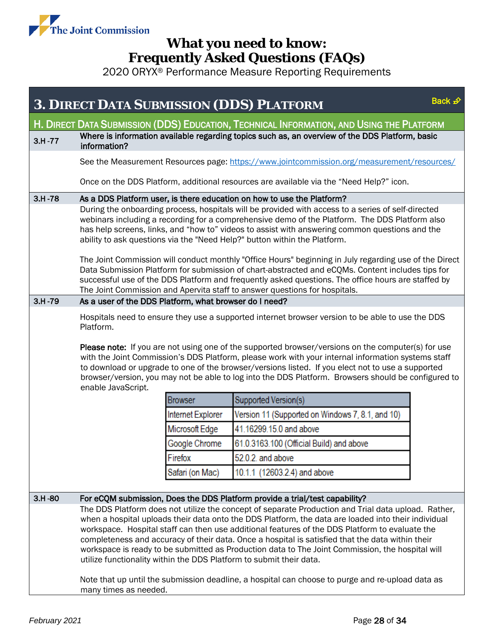

<span id="page-27-0"></span>

|            |                                                                                                                                                                                                                                                                                                                                                                                                                                                                                                                                                                                                                                                                                                                                                                                       |                   | <b>3. DIRECT DATA SUBMISSION (DDS) PLATFORM</b>                                         | Back £ |  |  |
|------------|---------------------------------------------------------------------------------------------------------------------------------------------------------------------------------------------------------------------------------------------------------------------------------------------------------------------------------------------------------------------------------------------------------------------------------------------------------------------------------------------------------------------------------------------------------------------------------------------------------------------------------------------------------------------------------------------------------------------------------------------------------------------------------------|-------------------|-----------------------------------------------------------------------------------------|--------|--|--|
|            | H. DIRECT DATA SUBMISSION (DDS) EDUCATION, TECHNICAL INFORMATION, AND USING THE PLATFORM                                                                                                                                                                                                                                                                                                                                                                                                                                                                                                                                                                                                                                                                                              |                   |                                                                                         |        |  |  |
| $3.H - 77$ | Where is information available regarding topics such as, an overview of the DDS Platform, basic<br>information?                                                                                                                                                                                                                                                                                                                                                                                                                                                                                                                                                                                                                                                                       |                   |                                                                                         |        |  |  |
|            | See the Measurement Resources page: https://www.jointcommission.org/measurement/resources/                                                                                                                                                                                                                                                                                                                                                                                                                                                                                                                                                                                                                                                                                            |                   |                                                                                         |        |  |  |
|            |                                                                                                                                                                                                                                                                                                                                                                                                                                                                                                                                                                                                                                                                                                                                                                                       |                   | Once on the DDS Platform, additional resources are available via the "Need Help?" icon. |        |  |  |
| $3.H - 78$ |                                                                                                                                                                                                                                                                                                                                                                                                                                                                                                                                                                                                                                                                                                                                                                                       |                   | As a DDS Platform user, is there education on how to use the Platform?                  |        |  |  |
|            | During the onboarding process, hospitals will be provided with access to a series of self-directed<br>webinars including a recording for a comprehensive demo of the Platform. The DDS Platform also<br>has help screens, links, and "how to" videos to assist with answering common questions and the<br>ability to ask questions via the "Need Help?" button within the Platform.<br>The Joint Commission will conduct monthly "Office Hours" beginning in July regarding use of the Direct<br>Data Submission Platform for submission of chart-abstracted and eCQMs. Content includes tips for<br>successful use of the DDS Platform and frequently asked questions. The office hours are staffed by<br>The Joint Commission and Apervita staff to answer questions for hospitals. |                   |                                                                                         |        |  |  |
| $3.H - 79$ | As a user of the DDS Platform, what browser do I need?                                                                                                                                                                                                                                                                                                                                                                                                                                                                                                                                                                                                                                                                                                                                |                   |                                                                                         |        |  |  |
|            | Hospitals need to ensure they use a supported internet browser version to be able to use the DDS<br>Platform.<br>Please note: If you are not using one of the supported browser/versions on the computer(s) for use<br>with the Joint Commission's DDS Platform, please work with your internal information systems staff<br>to download or upgrade to one of the browser/versions listed. If you elect not to use a supported<br>browser/version, you may not be able to log into the DDS Platform. Browsers should be configured to<br>enable JavaScript.                                                                                                                                                                                                                           |                   |                                                                                         |        |  |  |
|            |                                                                                                                                                                                                                                                                                                                                                                                                                                                                                                                                                                                                                                                                                                                                                                                       | <b>Browser</b>    | Supported Version(s)                                                                    |        |  |  |
|            |                                                                                                                                                                                                                                                                                                                                                                                                                                                                                                                                                                                                                                                                                                                                                                                       | Internet Explorer | Version 11 (Supported on Windows 7, 8.1, and 10)                                        |        |  |  |
|            |                                                                                                                                                                                                                                                                                                                                                                                                                                                                                                                                                                                                                                                                                                                                                                                       | Microsoft Edge    | 41.16299.15.0 and above                                                                 |        |  |  |
|            |                                                                                                                                                                                                                                                                                                                                                                                                                                                                                                                                                                                                                                                                                                                                                                                       | Google Chrome     | 61.0.3163.100 (Official Build) and above                                                |        |  |  |
|            |                                                                                                                                                                                                                                                                                                                                                                                                                                                                                                                                                                                                                                                                                                                                                                                       | Firefox           | 52.0.2. and above                                                                       |        |  |  |
|            |                                                                                                                                                                                                                                                                                                                                                                                                                                                                                                                                                                                                                                                                                                                                                                                       | Safari (on Mac)   | 10.1.1 (12603.2.4) and above                                                            |        |  |  |
| $3.H - 80$ |                                                                                                                                                                                                                                                                                                                                                                                                                                                                                                                                                                                                                                                                                                                                                                                       |                   | For eCQM submission, Does the DDS Platform provide a trial/test capability?             |        |  |  |
|            | The DDS Platform does not utilize the concept of separate Production and Trial data upload. Rather,<br>when a hospital uploads their data onto the DDS Platform, the data are loaded into their individual<br>workspace. Hospital staff can then use additional features of the DDS Platform to evaluate the<br>completeness and accuracy of their data. Once a hospital is satisfied that the data within their<br>workspace is ready to be submitted as Production data to The Joint Commission, the hospital will<br>utilize functionality within the DDS Platform to submit their data.<br>Note that up until the submission deadline, a hospital can choose to purge and re-upload data as                                                                                       |                   |                                                                                         |        |  |  |
|            | many times as needed.                                                                                                                                                                                                                                                                                                                                                                                                                                                                                                                                                                                                                                                                                                                                                                 |                   |                                                                                         |        |  |  |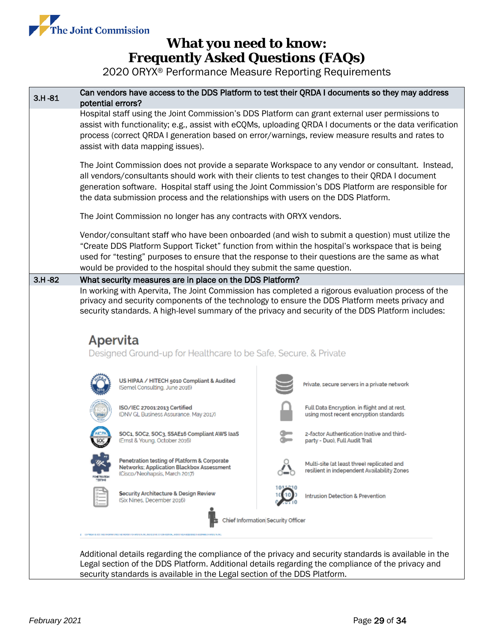

2020 ORYX® Performance Measure Reporting Requirements



Legal section of the DDS Platform. Additional details regarding the compliance of the privacy and security standards is available in the Legal section of the DDS Platform.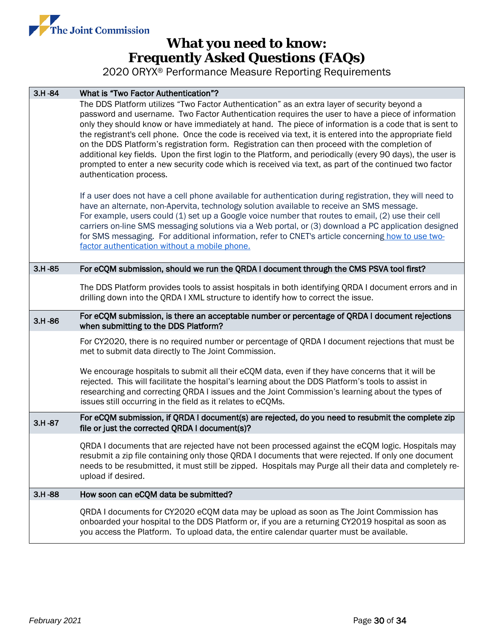

| $3.H - 84$ | What is "Two Factor Authentication"?                                                                                                                                                                                                                                                                                                                                                                                                                                                                                                                                                                                                                                                                                                                                       |  |  |
|------------|----------------------------------------------------------------------------------------------------------------------------------------------------------------------------------------------------------------------------------------------------------------------------------------------------------------------------------------------------------------------------------------------------------------------------------------------------------------------------------------------------------------------------------------------------------------------------------------------------------------------------------------------------------------------------------------------------------------------------------------------------------------------------|--|--|
|            | The DDS Platform utilizes "Two Factor Authentication" as an extra layer of security beyond a<br>password and username. Two Factor Authentication requires the user to have a piece of information<br>only they should know or have immediately at hand. The piece of information is a code that is sent to<br>the registrant's cell phone. Once the code is received via text, it is entered into the appropriate field<br>on the DDS Platform's registration form. Registration can then proceed with the completion of<br>additional key fields. Upon the first login to the Platform, and periodically (every 90 days), the user is<br>prompted to enter a new security code which is received via text, as part of the continued two factor<br>authentication process. |  |  |
|            | If a user does not have a cell phone available for authentication during registration, they will need to<br>have an alternate, non-Apervita, technology solution available to receive an SMS message.<br>For example, users could (1) set up a Google voice number that routes to email, (2) use their cell<br>carriers on-line SMS messaging solutions via a Web portal, or (3) download a PC application designed<br>for SMS messaging. For additional information, refer to CNET's article concerning how to use two-<br>factor authentication without a mobile phone.                                                                                                                                                                                                  |  |  |
| $3.H -85$  | For eCQM submission, should we run the QRDA I document through the CMS PSVA tool first?                                                                                                                                                                                                                                                                                                                                                                                                                                                                                                                                                                                                                                                                                    |  |  |
|            | The DDS Platform provides tools to assist hospitals in both identifying QRDA I document errors and in<br>drilling down into the QRDA I XML structure to identify how to correct the issue.                                                                                                                                                                                                                                                                                                                                                                                                                                                                                                                                                                                 |  |  |
| $3.H-86$   | For eCQM submission, is there an acceptable number or percentage of QRDA I document rejections<br>when submitting to the DDS Platform?                                                                                                                                                                                                                                                                                                                                                                                                                                                                                                                                                                                                                                     |  |  |
|            | For CY2020, there is no required number or percentage of QRDA I document rejections that must be<br>met to submit data directly to The Joint Commission.                                                                                                                                                                                                                                                                                                                                                                                                                                                                                                                                                                                                                   |  |  |
|            | We encourage hospitals to submit all their eCQM data, even if they have concerns that it will be<br>rejected. This will facilitate the hospital's learning about the DDS Platform's tools to assist in<br>researching and correcting QRDA I issues and the Joint Commission's learning about the types of<br>issues still occurring in the field as it relates to eCQMs.                                                                                                                                                                                                                                                                                                                                                                                                   |  |  |
| $3.H - 87$ | For eCQM submission, if QRDA I document(s) are rejected, do you need to resubmit the complete zip<br>file or just the corrected QRDA I document(s)?                                                                                                                                                                                                                                                                                                                                                                                                                                                                                                                                                                                                                        |  |  |
|            | QRDA I documents that are rejected have not been processed against the eCQM logic. Hospitals may<br>resubmit a zip file containing only those QRDA I documents that were rejected. If only one document<br>needs to be resubmitted, it must still be zipped. Hospitals may Purge all their data and completely re-<br>upload if desired.                                                                                                                                                                                                                                                                                                                                                                                                                                   |  |  |
| $3.H-88$   | How soon can eCQM data be submitted?                                                                                                                                                                                                                                                                                                                                                                                                                                                                                                                                                                                                                                                                                                                                       |  |  |
|            | QRDA I documents for CY2020 eCQM data may be upload as soon as The Joint Commission has<br>onboarded your hospital to the DDS Platform or, if you are a returning CY2019 hospital as soon as<br>you access the Platform. To upload data, the entire calendar quarter must be available.                                                                                                                                                                                                                                                                                                                                                                                                                                                                                    |  |  |
|            |                                                                                                                                                                                                                                                                                                                                                                                                                                                                                                                                                                                                                                                                                                                                                                            |  |  |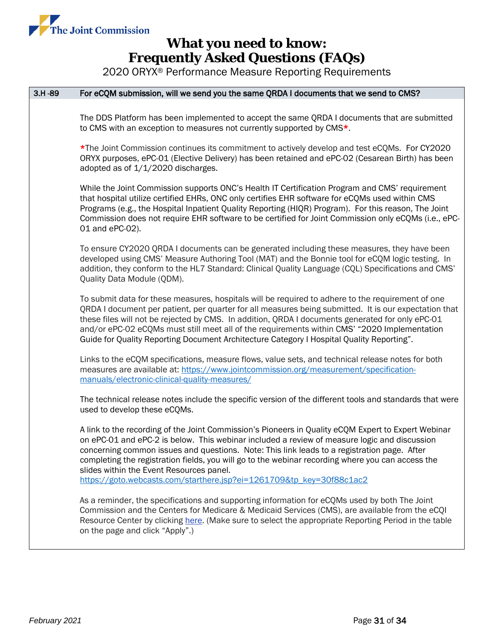

| $3.H-89$ | For eCQM submission, will we send you the same QRDA I documents that we send to CMS?                                                                                                                                                                                                                                                                                                                                                                                                                                        |  |  |
|----------|-----------------------------------------------------------------------------------------------------------------------------------------------------------------------------------------------------------------------------------------------------------------------------------------------------------------------------------------------------------------------------------------------------------------------------------------------------------------------------------------------------------------------------|--|--|
|          | The DDS Platform has been implemented to accept the same QRDA I documents that are submitted<br>to CMS with an exception to measures not currently supported by CMS*.                                                                                                                                                                                                                                                                                                                                                       |  |  |
|          | *The Joint Commission continues its commitment to actively develop and test eCQMs. For CY2020<br>ORYX purposes, ePC-01 (Elective Delivery) has been retained and ePC-02 (Cesarean Birth) has been<br>adopted as of 1/1/2020 discharges.                                                                                                                                                                                                                                                                                     |  |  |
|          | While the Joint Commission supports ONC's Health IT Certification Program and CMS' requirement<br>that hospital utilize certified EHRs, ONC only certifies EHR software for eCQMs used within CMS<br>Programs (e.g., the Hospital Inpatient Quality Reporting (HIQR) Program). For this reason, The Joint<br>Commission does not require EHR software to be certified for Joint Commission only eCQMs (i.e., ePC-<br>01 and ePC-02).                                                                                        |  |  |
|          | To ensure CY2020 QRDA I documents can be generated including these measures, they have been<br>developed using CMS' Measure Authoring Tool (MAT) and the Bonnie tool for eCQM logic testing. In<br>addition, they conform to the HL7 Standard: Clinical Quality Language (CQL) Specifications and CMS'<br>Quality Data Module (QDM).                                                                                                                                                                                        |  |  |
|          | To submit data for these measures, hospitals will be required to adhere to the requirement of one<br>QRDA I document per patient, per quarter for all measures being submitted. It is our expectation that<br>these files will not be rejected by CMS. In addition, QRDA I documents generated for only ePC-01<br>and/or ePC-02 eCQMs must still meet all of the requirements within CMS' "2020 Implementation<br>Guide for Quality Reporting Document Architecture Category I Hospital Quality Reporting".                 |  |  |
|          | Links to the eCQM specifications, measure flows, value sets, and technical release notes for both<br>measures are available at: https://www.jointcommission.org/measurement/specification-<br>manuals/electronic-clinical-quality-measures/                                                                                                                                                                                                                                                                                 |  |  |
|          | The technical release notes include the specific version of the different tools and standards that were<br>used to develop these eCQMs.                                                                                                                                                                                                                                                                                                                                                                                     |  |  |
|          | A link to the recording of the Joint Commission's Pioneers in Quality eCQM Expert to Expert Webinar<br>on ePC-01 and ePC-2 is below. This webinar included a review of measure logic and discussion<br>concerning common issues and questions. Note: This link leads to a registration page. After<br>completing the registration fields, you will go to the webinar recording where you can access the<br>slides within the Event Resources panel.<br>https://goto.webcasts.com/starthere.jsp?ei=1261709&tp_key=30f88c1ac2 |  |  |
|          | As a reminder, the specifications and supporting information for eCQMs used by both The Joint<br>Commission and the Centers for Medicare & Medicaid Services (CMS), are available from the eCQI<br>Resource Center by clicking here. (Make sure to select the appropriate Reporting Period in the table<br>on the page and click "Apply".)                                                                                                                                                                                  |  |  |
|          |                                                                                                                                                                                                                                                                                                                                                                                                                                                                                                                             |  |  |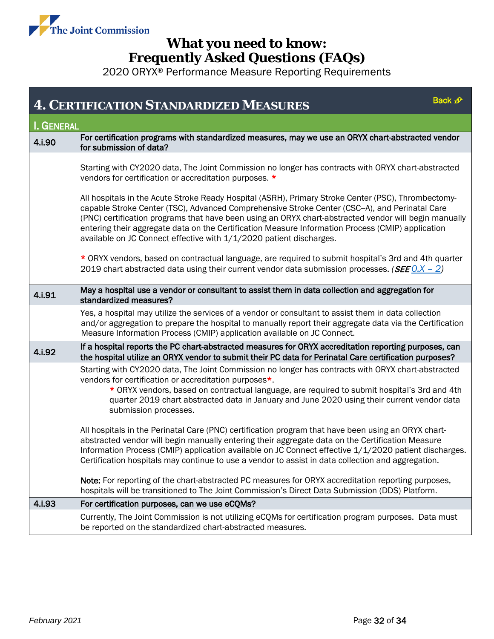

<span id="page-31-0"></span>

| Back $\mathcal{D}$<br><b>4. CERTIFICATION STANDARDIZED MEASURES</b> |                                                                                                                                                                                                                                                                                                                                                                                                                                                                                            |  |  |  |
|---------------------------------------------------------------------|--------------------------------------------------------------------------------------------------------------------------------------------------------------------------------------------------------------------------------------------------------------------------------------------------------------------------------------------------------------------------------------------------------------------------------------------------------------------------------------------|--|--|--|
| <b>I. GENERAL</b>                                                   |                                                                                                                                                                                                                                                                                                                                                                                                                                                                                            |  |  |  |
| 4.i.90                                                              | For certification programs with standardized measures, may we use an ORYX chart-abstracted vendor<br>for submission of data?                                                                                                                                                                                                                                                                                                                                                               |  |  |  |
|                                                                     | Starting with CY2020 data, The Joint Commission no longer has contracts with ORYX chart-abstracted<br>vendors for certification or accreditation purposes. *                                                                                                                                                                                                                                                                                                                               |  |  |  |
|                                                                     | All hospitals in the Acute Stroke Ready Hospital (ASRH), Primary Stroke Center (PSC), Thrombectomy-<br>capable Stroke Center (TSC), Advanced Comprehensive Stroke Center (CSC--A), and Perinatal Care<br>(PNC) certification programs that have been using an ORYX chart-abstracted vendor will begin manually<br>entering their aggregate data on the Certification Measure Information Process (CMIP) application<br>available on JC Connect effective with 1/1/2020 patient discharges. |  |  |  |
|                                                                     | * ORYX vendors, based on contractual language, are required to submit hospital's 3rd and 4th quarter<br>2019 chart abstracted data using their current vendor data submission processes. ( <i>SEE</i> 0.X - 2)                                                                                                                                                                                                                                                                             |  |  |  |
| 4.i.91                                                              | May a hospital use a vendor or consultant to assist them in data collection and aggregation for<br>standardized measures?                                                                                                                                                                                                                                                                                                                                                                  |  |  |  |
|                                                                     | Yes, a hospital may utilize the services of a vendor or consultant to assist them in data collection<br>and/or aggregation to prepare the hospital to manually report their aggregate data via the Certification<br>Measure Information Process (CMIP) application available on JC Connect.                                                                                                                                                                                                |  |  |  |
| 4.i.92                                                              | If a hospital reports the PC chart-abstracted measures for ORYX accreditation reporting purposes, can<br>the hospital utilize an ORYX vendor to submit their PC data for Perinatal Care certification purposes?                                                                                                                                                                                                                                                                            |  |  |  |
|                                                                     | Starting with CY2020 data, The Joint Commission no longer has contracts with ORYX chart-abstracted<br>vendors for certification or accreditation purposes*.<br>* ORYX vendors, based on contractual language, are required to submit hospital's 3rd and 4th<br>quarter 2019 chart abstracted data in January and June 2020 using their current vendor data<br>submission processes.                                                                                                        |  |  |  |
|                                                                     | All hospitals in the Perinatal Care (PNC) certification program that have been using an ORYX chart-<br>abstracted vendor will begin manually entering their aggregate data on the Certification Measure<br>Information Process (CMIP) application available on JC Connect effective 1/1/2020 patient discharges.<br>Certification hospitals may continue to use a vendor to assist in data collection and aggregation.                                                                     |  |  |  |
|                                                                     | Note: For reporting of the chart-abstracted PC measures for ORYX accreditation reporting purposes,<br>hospitals will be transitioned to The Joint Commission's Direct Data Submission (DDS) Platform.                                                                                                                                                                                                                                                                                      |  |  |  |
| 4.i.93                                                              | For certification purposes, can we use eCQMs?                                                                                                                                                                                                                                                                                                                                                                                                                                              |  |  |  |
|                                                                     | Currently, The Joint Commission is not utilizing eCQMs for certification program purposes. Data must<br>be reported on the standardized chart-abstracted measures.                                                                                                                                                                                                                                                                                                                         |  |  |  |
|                                                                     |                                                                                                                                                                                                                                                                                                                                                                                                                                                                                            |  |  |  |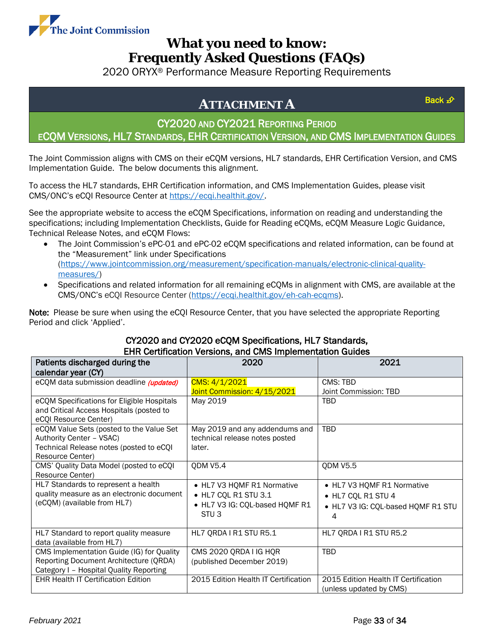

2020 ORYX® Performance Measure Reporting Requirements

# <span id="page-32-0"></span>**ATTACHMENT A**

CY2020 AND CY2021 REPORTING PERIOD

ECQM VERSIONS, HL7 STANDARDS, EHR CERTIFICATION VERSION, AND CMS IMPLEMENTATION GUIDES

The Joint Commission aligns with CMS on their eCQM versions, HL7 standards, EHR Certification Version, and CMS Implementation Guide. The below documents this alignment.

To access the HL7 standards, EHR Certification information, and CMS Implementation Guides, please visit CMS/ONC's eCQI Resource Center at [https://ecqi.healthit.gov/.](https://ecqi.healthit.gov/)

See the appropriate website to access the eCQM Specifications, information on reading and understanding the specifications; including Implementation Checklists, Guide for Reading eCQMs, eCQM Measure Logic Guidance, Technical Release Notes, and eCQM Flows:

- The Joint Commission's ePC-01 and ePC-02 eCQM specifications and related information, can be found at the "Measurement" link under Specifications [\(https://www.jointcommission.org/measurement/specification-manuals/electronic-clinical-quality](https://www.jointcommission.org/measurement/specification-manuals/electronic-clinical-quality-measures/)[measures/\)](https://www.jointcommission.org/measurement/specification-manuals/electronic-clinical-quality-measures/)
- Specifications and related information for all remaining eCQMs in alignment with CMS, are available at the CMS/ONC's eCQI Resource Center [\(https://ecqi.healthit.gov/eh-cah-ecqms\)](https://ecqi.healthit.gov/eh-cah-ecqms).

Note: Please be sure when using the eCQI Resource Center, that you have selected the appropriate Reporting Period and click 'Applied'.

| <b>EHR Certification Versions, and CMS Implementation Guides</b> |                                      |                                      |  |  |  |  |
|------------------------------------------------------------------|--------------------------------------|--------------------------------------|--|--|--|--|
| Patients discharged during the                                   | 2020                                 | 2021                                 |  |  |  |  |
| calendar year (CY)                                               |                                      |                                      |  |  |  |  |
| eCQM data submission deadline (updated)                          | CMS: 4/1/2021                        | CMS: TBD                             |  |  |  |  |
|                                                                  | Joint Commission: 4/15/2021          | Joint Commission: TBD                |  |  |  |  |
| eCQM Specifications for Eligible Hospitals                       | May 2019                             | TBD                                  |  |  |  |  |
| and Critical Access Hospitals (posted to                         |                                      |                                      |  |  |  |  |
| eCQI Resource Center)                                            |                                      |                                      |  |  |  |  |
| eCQM Value Sets (posted to the Value Set                         | May 2019 and any addendums and       | TBD                                  |  |  |  |  |
| Authority Center - VSAC)                                         | technical release notes posted       |                                      |  |  |  |  |
| Technical Release notes (posted to eCQI                          | later.                               |                                      |  |  |  |  |
| Resource Center)                                                 |                                      |                                      |  |  |  |  |
| CMS' Quality Data Model (posted to eCQI                          | <b>QDM V5.4</b>                      | <b>QDM V5.5</b>                      |  |  |  |  |
| Resource Center)                                                 |                                      |                                      |  |  |  |  |
| HL7 Standards to represent a health                              | • HL7 V3 HQMF R1 Normative           | • HL7 V3 HQMF R1 Normative           |  |  |  |  |
| quality measure as an electronic document                        | • HL7 CQL R1 STU 3.1                 | • HL7 CQL R1 STU 4                   |  |  |  |  |
| (eCQM) (available from HL7)                                      | • HL7 V3 IG: CQL-based HQMF R1       | • HL7 V3 IG: CQL-based HQMF R1 STU   |  |  |  |  |
|                                                                  | STU <sub>3</sub>                     | 4                                    |  |  |  |  |
|                                                                  |                                      |                                      |  |  |  |  |
| HL7 Standard to report quality measure                           | HL7 QRDA I R1 STU R5.1               | HL7 QRDA I R1 STU R5.2               |  |  |  |  |
| data (available from HL7)                                        |                                      |                                      |  |  |  |  |
| CMS Implementation Guide (IG) for Quality                        | CMS 2020 QRDA I IG HQR               | TBD                                  |  |  |  |  |
| Reporting Document Architecture (QRDA)                           | (published December 2019)            |                                      |  |  |  |  |
| Category I - Hospital Quality Reporting                          |                                      |                                      |  |  |  |  |
| <b>EHR Health IT Certification Edition</b>                       | 2015 Edition Health IT Certification | 2015 Edition Health IT Certification |  |  |  |  |
|                                                                  |                                      | (unless updated by CMS)              |  |  |  |  |

### CY2020 and CY2020 eCQM Specifications, HL7 Standards, EHR Certification Versions, and CMS Implementation Guides

[Back](#page-0-0) £